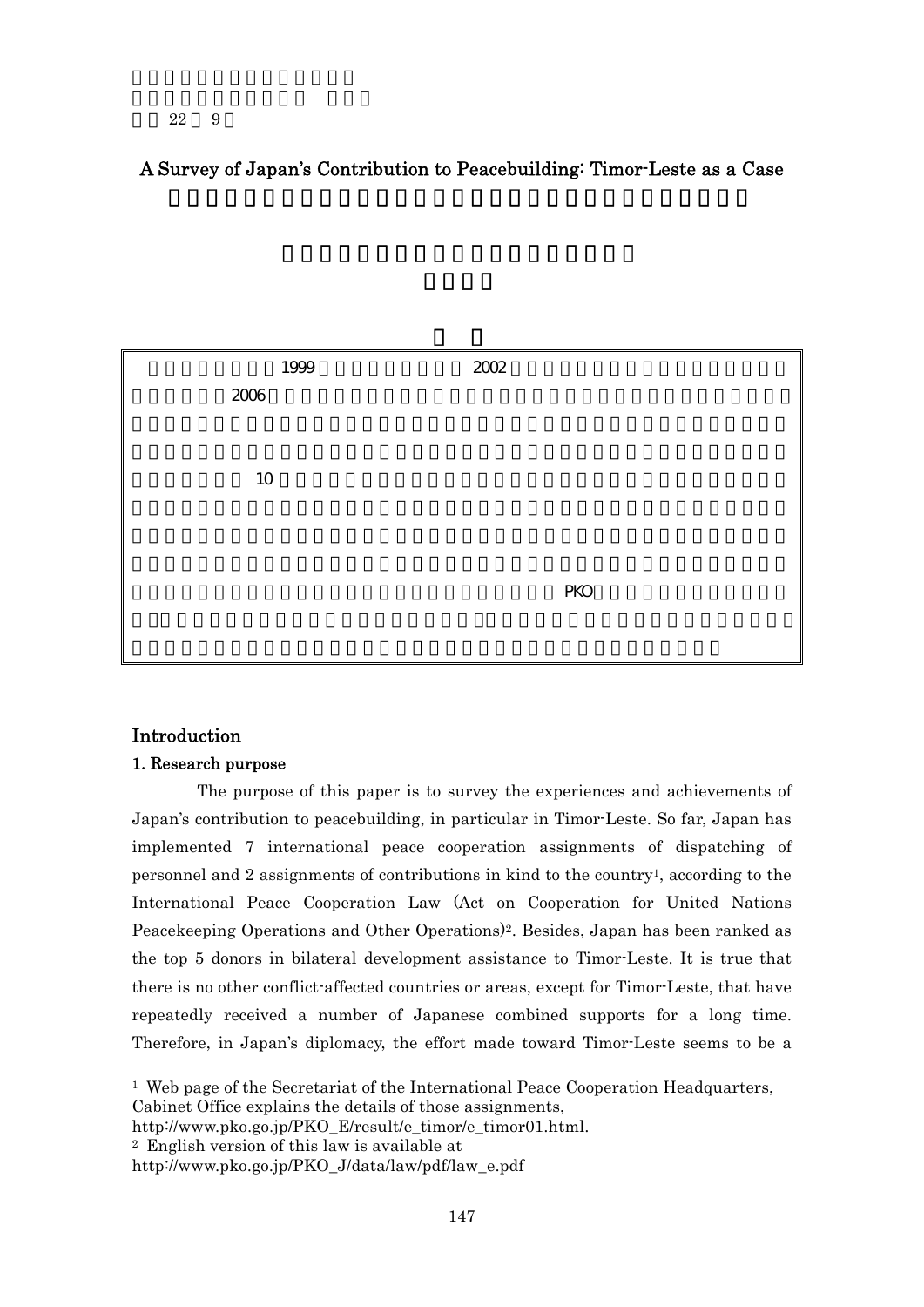### 22 9

## A Survey of Japan's Contribution to Peacebuilding: Timor-Leste as a Case



## Introduction

 $\overline{a}$ 

## 1. Research purpose

The purpose of this paper is to survey the experiences and achievements of Japan's contribution to peacebuilding, in particular in Timor-Leste. So far, Japan has implemented 7 international peace cooperation assignments of dispatching of personnel and 2 assignments of contributions in kind to the country<sup>1</sup>, according to the International Peace Cooperation Law (Act on Cooperation for United Nations Peacekeeping Operations and Other Operations)2. Besides, Japan has been ranked as the top 5 donors in bilateral development assistance to Timor-Leste. It is true that there is no other conflict-affected countries or areas, except for Timor-Leste, that have repeatedly received a number of Japanese combined supports for a long time. Therefore, in Japan's diplomacy, the effort made toward Timor-Leste seems to be a

2 English version of this law is available at

 $1$  Web page of the Secretariat of the International Peace Cooperation Headquarters, Cabinet Office explains the details of those assignments,

http://www.pko.go.jp/PKO\_E/result/e\_timor/e\_timor01.html.

http://www.pko.go.jp/PKO\_J/data/law/pdf/law\_e.pdf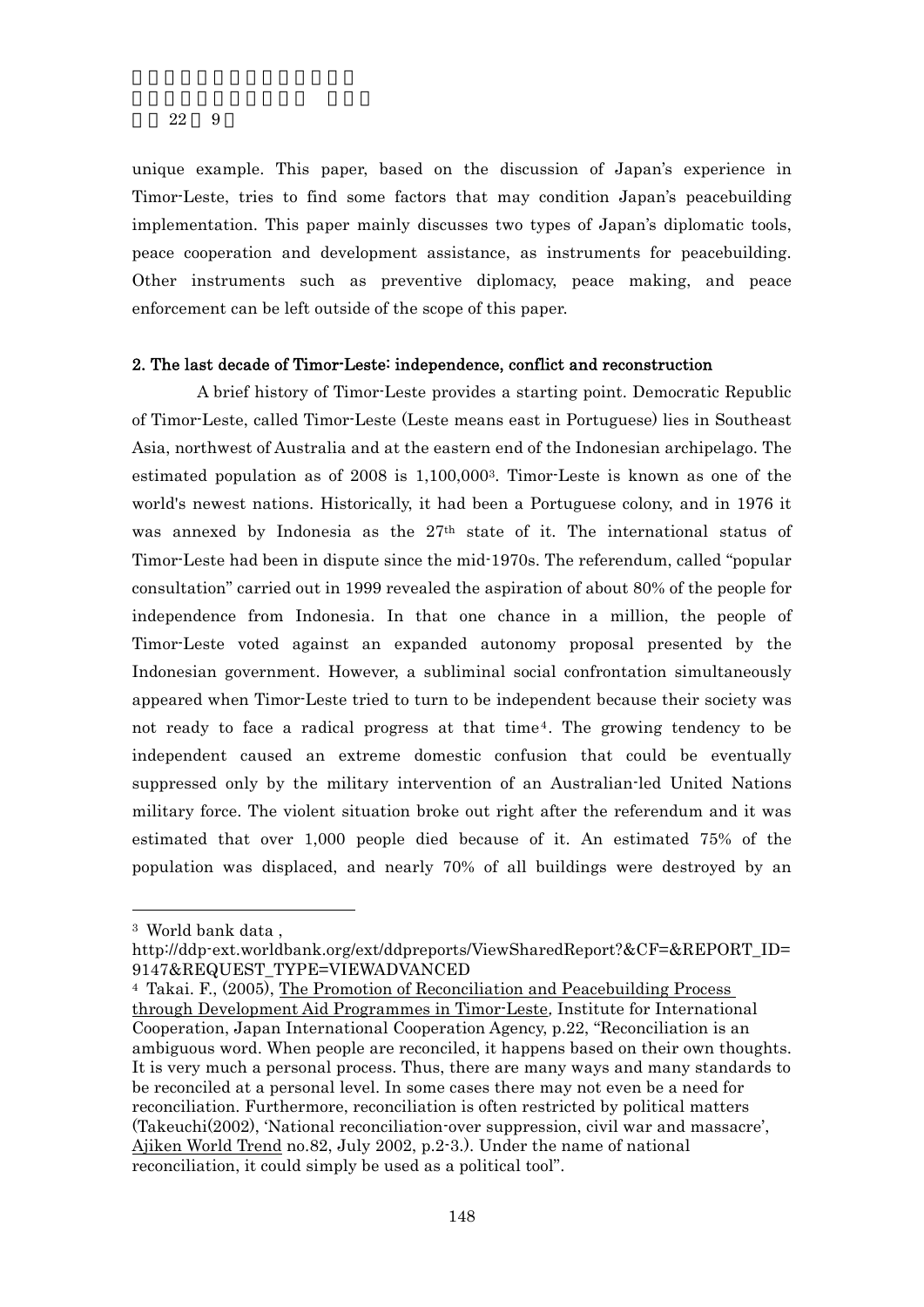unique example. This paper, based on the discussion of Japan's experience in Timor-Leste, tries to find some factors that may condition Japan's peacebuilding implementation. This paper mainly discusses two types of Japan's diplomatic tools, peace cooperation and development assistance, as instruments for peacebuilding. Other instruments such as preventive diplomacy, peace making, and peace enforcement can be left outside of the scope of this paper.

## 2. The last decade of Timor-Leste: independence, conflict and reconstruction

A brief history of Timor-Leste provides a starting point. Democratic Republic of Timor-Leste, called Timor-Leste (Leste means east in Portuguese) lies in Southeast Asia, northwest of Australia and at the eastern end of the Indonesian archipelago. The estimated population as of 2008 is 1,100,0003. Timor-Leste is known as one of the world's newest nations. Historically, it had been a Portuguese colony, and in 1976 it was annexed by Indonesia as the  $27<sup>th</sup>$  state of it. The international status of Timor-Leste had been in dispute since the mid-1970s. The referendum, called "popular consultation" carried out in 1999 revealed the aspiration of about 80% of the people for independence from Indonesia. In that one chance in a million, the people of Timor-Leste voted against an expanded autonomy proposal presented by the Indonesian government. However, a subliminal social confrontation simultaneously appeared when Timor-Leste tried to turn to be independent because their society was not ready to face a radical progress at that time4. The growing tendency to be independent caused an extreme domestic confusion that could be eventually suppressed only by the military intervention of an Australian-led United Nations military force. The violent situation broke out right after the referendum and it was estimated that over 1,000 people died because of it. An estimated 75% of the population was displaced, and nearly 70% of all buildings were destroyed by an

-

<sup>3</sup> World bank data ,

http://ddp-ext.worldbank.org/ext/ddpreports/ViewSharedReport?&CF=&REPORT\_ID= 9147&REQUEST\_TYPE=VIEWADVANCED

<sup>4</sup> Takai. F., (2005), The Promotion of Reconciliation and Peacebuilding Process through Development Aid Programmes in Timor-Leste, Institute for International Cooperation, Japan International Cooperation Agency, p.22, "Reconciliation is an ambiguous word. When people are reconciled, it happens based on their own thoughts. It is very much a personal process. Thus, there are many ways and many standards to be reconciled at a personal level. In some cases there may not even be a need for reconciliation. Furthermore, reconciliation is often restricted by political matters (Takeuchi(2002), 'National reconciliation-over suppression, civil war and massacre', Ajiken World Trend no.82, July 2002, p.2-3.). Under the name of national reconciliation, it could simply be used as a political tool".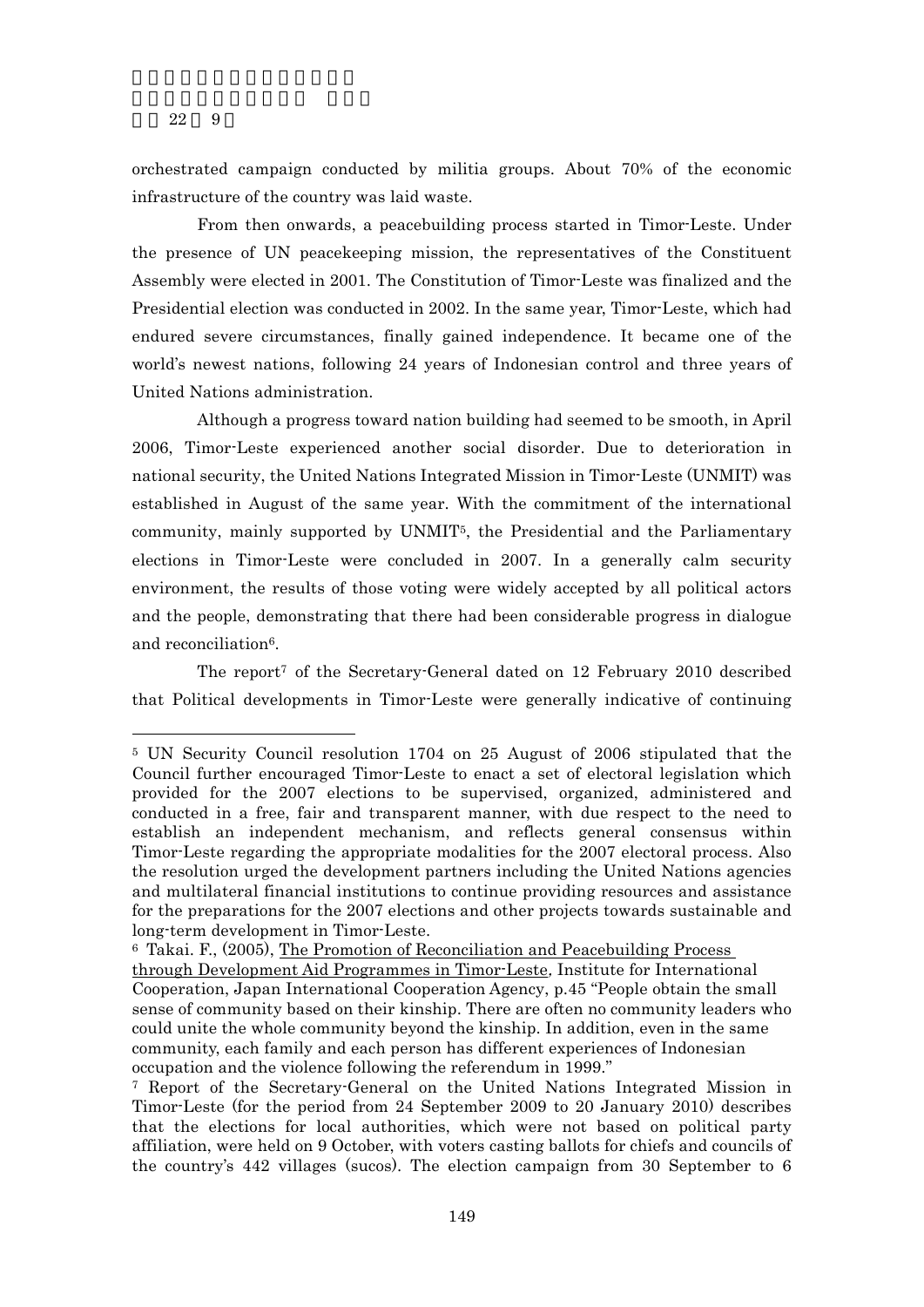22 9

-

orchestrated campaign conducted by militia groups. About 70% of the economic infrastructure of the country was laid waste.

From then onwards, a peacebuilding process started in Timor-Leste. Under the presence of UN peacekeeping mission, the representatives of the Constituent Assembly were elected in 2001. The Constitution of Timor-Leste was finalized and the Presidential election was conducted in 2002. In the same year, Timor-Leste, which had endured severe circumstances, finally gained independence. It became one of the world's newest nations, following 24 years of Indonesian control and three years of United Nations administration.

Although a progress toward nation building had seemed to be smooth, in April 2006, Timor-Leste experienced another social disorder. Due to deterioration in national security, the United Nations Integrated Mission in Timor-Leste (UNMIT) was established in August of the same year. With the commitment of the international community, mainly supported by UNMIT5, the Presidential and the Parliamentary elections in Timor-Leste were concluded in 2007. In a generally calm security environment, the results of those voting were widely accepted by all political actors and the people, demonstrating that there had been considerable progress in dialogue and reconciliation<sup>6</sup>.

The report7 of the Secretary-General dated on 12 February 2010 described that Political developments in Timor-Leste were generally indicative of continuing

<sup>5</sup> UN Security Council resolution 1704 on 25 August of 2006 stipulated that the Council further encouraged Timor-Leste to enact a set of electoral legislation which provided for the 2007 elections to be supervised, organized, administered and conducted in a free, fair and transparent manner, with due respect to the need to establish an independent mechanism, and reflects general consensus within Timor-Leste regarding the appropriate modalities for the 2007 electoral process. Also the resolution urged the development partners including the United Nations agencies and multilateral financial institutions to continue providing resources and assistance for the preparations for the 2007 elections and other projects towards sustainable and long-term development in Timor-Leste.

<sup>6</sup> Takai. F., (2005), The Promotion of Reconciliation and Peacebuilding Process through Development Aid Programmes in Timor-Leste, Institute for International Cooperation, Japan International Cooperation Agency, p.45 "People obtain the small sense of community based on their kinship. There are often no community leaders who could unite the whole community beyond the kinship. In addition, even in the same community, each family and each person has different experiences of Indonesian occupation and the violence following the referendum in 1999."

<sup>7</sup> Report of the Secretary-General on the United Nations Integrated Mission in Timor-Leste (for the period from 24 September 2009 to 20 January 2010) describes that the elections for local authorities, which were not based on political party affiliation, were held on 9 October, with voters casting ballots for chiefs and councils of the country's 442 villages (sucos). The election campaign from 30 September to 6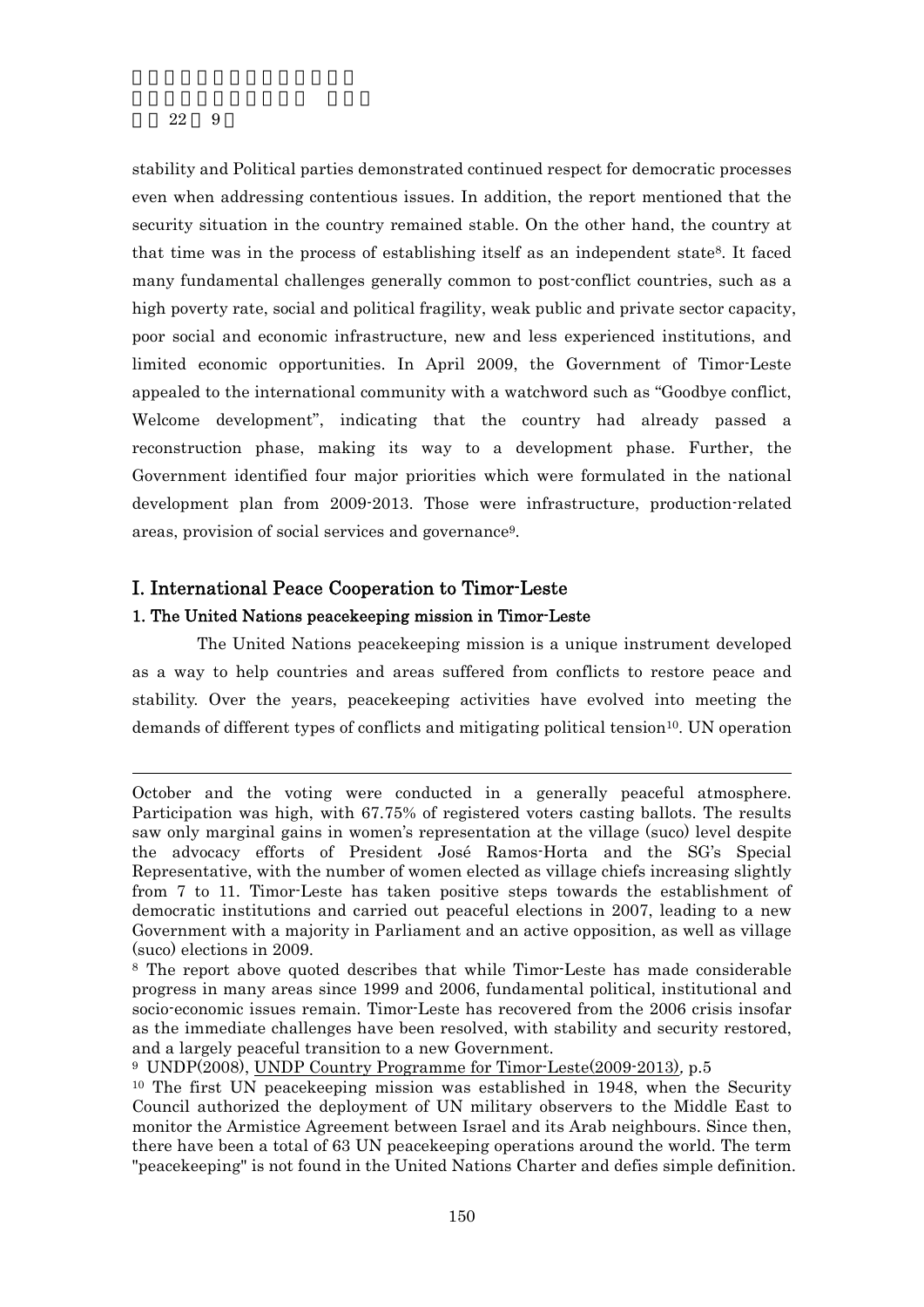22 9

 $\overline{a}$ 

stability and Political parties demonstrated continued respect for democratic processes even when addressing contentious issues. In addition, the report mentioned that the security situation in the country remained stable. On the other hand, the country at that time was in the process of establishing itself as an independent state<sup>8</sup>. It faced many fundamental challenges generally common to post-conflict countries, such as a high poverty rate, social and political fragility, weak public and private sector capacity, poor social and economic infrastructure, new and less experienced institutions, and limited economic opportunities. In April 2009, the Government of Timor-Leste appealed to the international community with a watchword such as "Goodbye conflict, Welcome development", indicating that the country had already passed a reconstruction phase, making its way to a development phase. Further, the Government identified four major priorities which were formulated in the national development plan from 2009-2013. Those were infrastructure, production-related areas, provision of social services and governance9.

## I. International Peace Cooperation to Timor-Leste

## 1. The United Nations peacekeeping mission in Timor-Leste

The United Nations peacekeeping mission is a unique instrument developed as a way to help countries and areas suffered from conflicts to restore peace and stability. Over the years, peacekeeping activities have evolved into meeting the demands of different types of conflicts and mitigating political tension<sup>10</sup>. UN operation

October and the voting were conducted in a generally peaceful atmosphere. Participation was high, with 67.75% of registered voters casting ballots. The results saw only marginal gains in women's representation at the village (suco) level despite the advocacy efforts of President José Ramos-Horta and the SG's Special Representative, with the number of women elected as village chiefs increasing slightly from 7 to 11. Timor-Leste has taken positive steps towards the establishment of democratic institutions and carried out peaceful elections in 2007, leading to a new Government with a majority in Parliament and an active opposition, as well as village (suco) elections in 2009.

<sup>8</sup> The report above quoted describes that while Timor-Leste has made considerable progress in many areas since 1999 and 2006, fundamental political, institutional and socio-economic issues remain. Timor-Leste has recovered from the 2006 crisis insofar as the immediate challenges have been resolved, with stability and security restored, and a largely peaceful transition to a new Government.

<sup>9</sup> UNDP(2008), UNDP Country Programme for Timor-Leste(2009-2013), p.5

<sup>10</sup> The first UN peacekeeping mission was established in 1948, when the Security Council authorized the deployment of UN military observers to the Middle East to monitor the Armistice Agreement between Israel and its Arab neighbours. Since then, there have been a total of 63 UN peacekeeping operations around the world. The term "peacekeeping" is not found in the United Nations Charter and defies simple definition.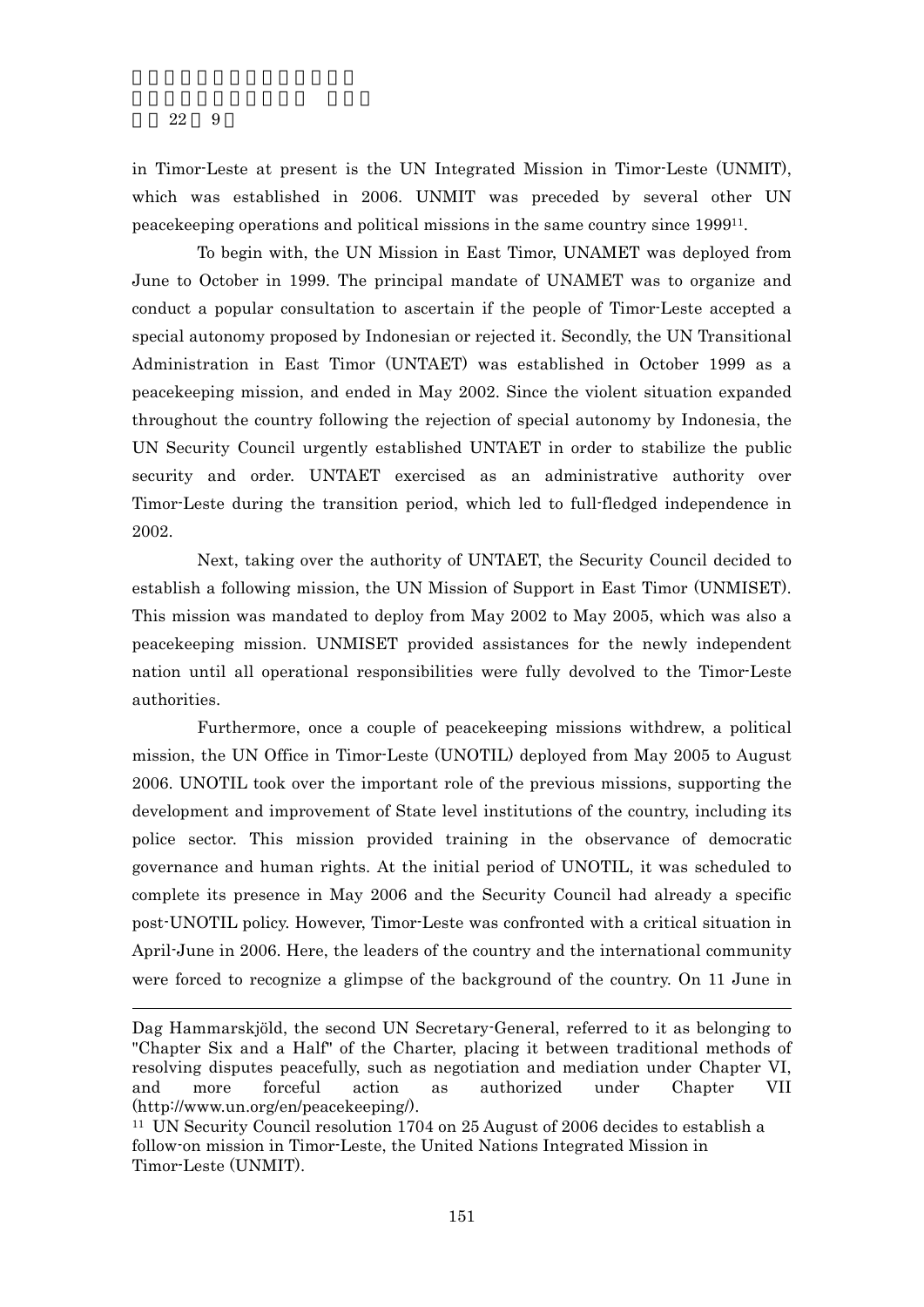$\overline{a}$ 

in Timor-Leste at present is the UN Integrated Mission in Timor-Leste (UNMIT), which was established in 2006. UNMIT was preceded by several other UN peacekeeping operations and political missions in the same country since 199911.

To begin with, the UN Mission in East Timor, UNAMET was deployed from June to October in 1999. The principal mandate of UNAMET was to organize and conduct a popular consultation to ascertain if the people of Timor-Leste accepted a special autonomy proposed by Indonesian or rejected it. Secondly, the UN Transitional Administration in East Timor (UNTAET) was established in October 1999 as a peacekeeping mission, and ended in May 2002. Since the violent situation expanded throughout the country following the rejection of special autonomy by Indonesia, the UN Security Council urgently established UNTAET in order to stabilize the public security and order. UNTAET exercised as an administrative authority over Timor-Leste during the transition period, which led to full-fledged independence in 2002.

Next, taking over the authority of UNTAET, the Security Council decided to establish a following mission, the UN Mission of Support in East Timor (UNMISET). This mission was mandated to deploy from May 2002 to May 2005, which was also a peacekeeping mission. UNMISET provided assistances for the newly independent nation until all operational responsibilities were fully devolved to the Timor-Leste authorities.

Furthermore, once a couple of peacekeeping missions withdrew, a political mission, the UN Office in Timor-Leste (UNOTIL) deployed from May 2005 to August 2006. UNOTIL took over the important role of the previous missions, supporting the development and improvement of State level institutions of the country, including its police sector. This mission provided training in the observance of democratic governance and human rights. At the initial period of UNOTIL, it was scheduled to complete its presence in May 2006 and the Security Council had already a specific post-UNOTIL policy. However, Timor-Leste was confronted with a critical situation in April-June in 2006. Here, the leaders of the country and the international community were forced to recognize a glimpse of the background of the country. On 11 June in

Dag Hammarskjöld, the second UN Secretary-General, referred to it as belonging to "Chapter Six and a Half" of the Charter, placing it between traditional methods of resolving disputes peacefully, such as negotiation and mediation under Chapter VI, and more forceful action as authorized under Chapter VII (http://www.un.org/en/peacekeeping/).

<sup>11</sup> UN Security Council resolution 1704 on 25 August of 2006 decides to establish a follow-on mission in Timor-Leste, the United Nations Integrated Mission in Timor-Leste (UNMIT).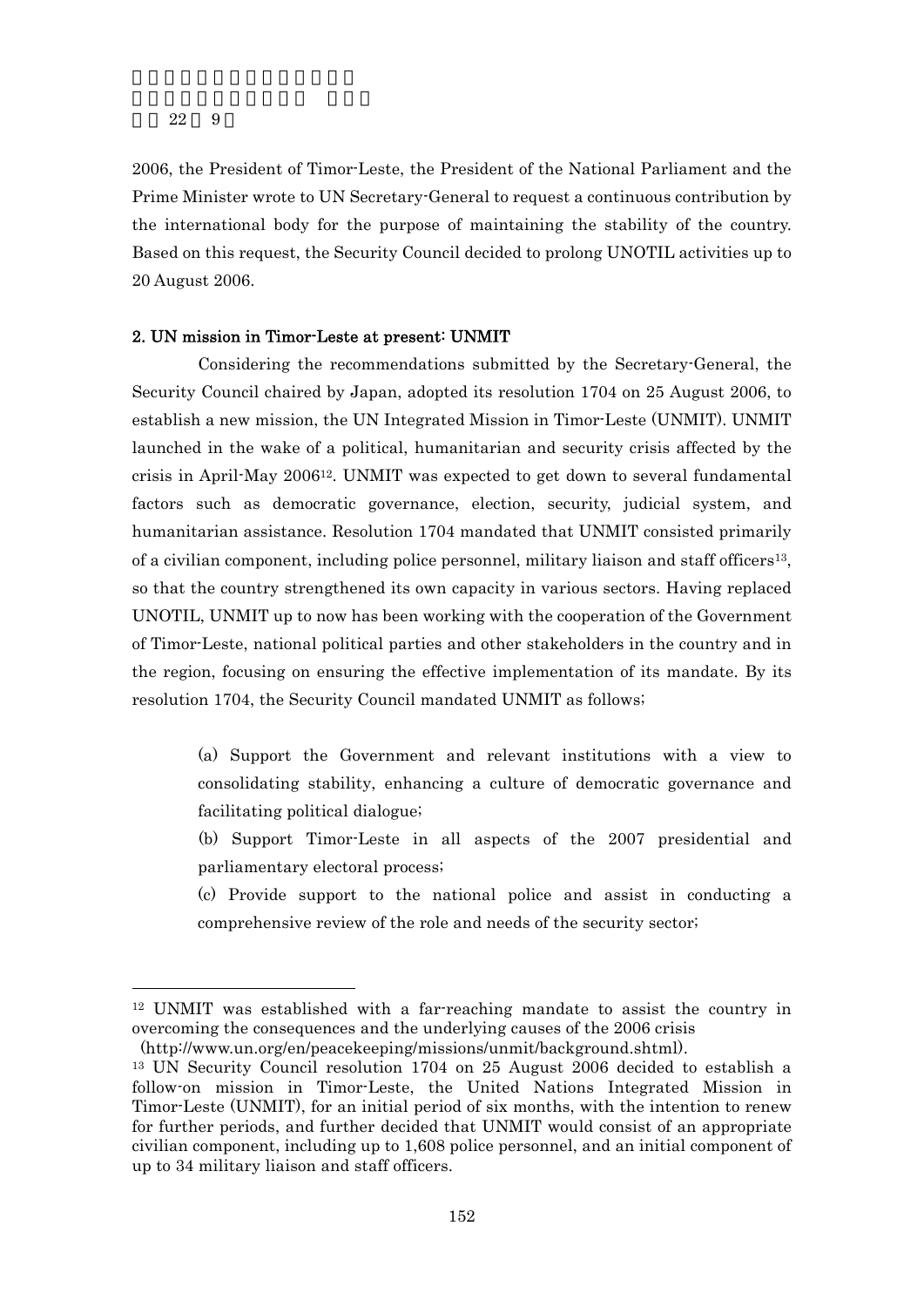$\overline{a}$ 

2006, the President of Timor-Leste, the President of the National Parliament and the Prime Minister wrote to UN Secretary-General to request a continuous contribution by the international body for the purpose of maintaining the stability of the country. Based on this request, the Security Council decided to prolong UNOTIL activities up to 20 August 2006.

#### 2. UN mission in Timor-Leste at present: UNMIT

 Considering the recommendations submitted by the Secretary-General, the Security Council chaired by Japan, adopted its resolution 1704 on 25 August 2006, to establish a new mission, the UN Integrated Mission in Timor-Leste (UNMIT). UNMIT launched in the wake of a political, humanitarian and security crisis affected by the crisis in April-May 200612. UNMIT was expected to get down to several fundamental factors such as democratic governance, election, security, judicial system, and humanitarian assistance. Resolution 1704 mandated that UNMIT consisted primarily of a civilian component, including police personnel, military liaison and staff officers<sup>13</sup>, so that the country strengthened its own capacity in various sectors. Having replaced UNOTIL, UNMIT up to now has been working with the cooperation of the Government of Timor-Leste, national political parties and other stakeholders in the country and in the region, focusing on ensuring the effective implementation of its mandate. By its resolution 1704, the Security Council mandated UNMIT as follows;

- (a) Support the Government and relevant institutions with a view to consolidating stability, enhancing a culture of democratic governance and facilitating political dialogue;
- (b) Support Timor-Leste in all aspects of the 2007 presidential and parliamentary electoral process;
- (c) Provide support to the national police and assist in conducting a comprehensive review of the role and needs of the security sector;

<sup>12</sup> UNMIT was established with a far-reaching mandate to assist the country in overcoming the consequences and the underlying causes of the 2006 crisis

 <sup>(</sup>http://www.un.org/en/peacekeeping/missions/unmit/background.shtml).

<sup>13</sup> UN Security Council resolution 1704 on 25 August 2006 decided to establish a follow-on mission in Timor-Leste, the United Nations Integrated Mission in Timor-Leste (UNMIT), for an initial period of six months, with the intention to renew for further periods, and further decided that UNMIT would consist of an appropriate civilian component, including up to 1,608 police personnel, and an initial component of up to 34 military liaison and staff officers.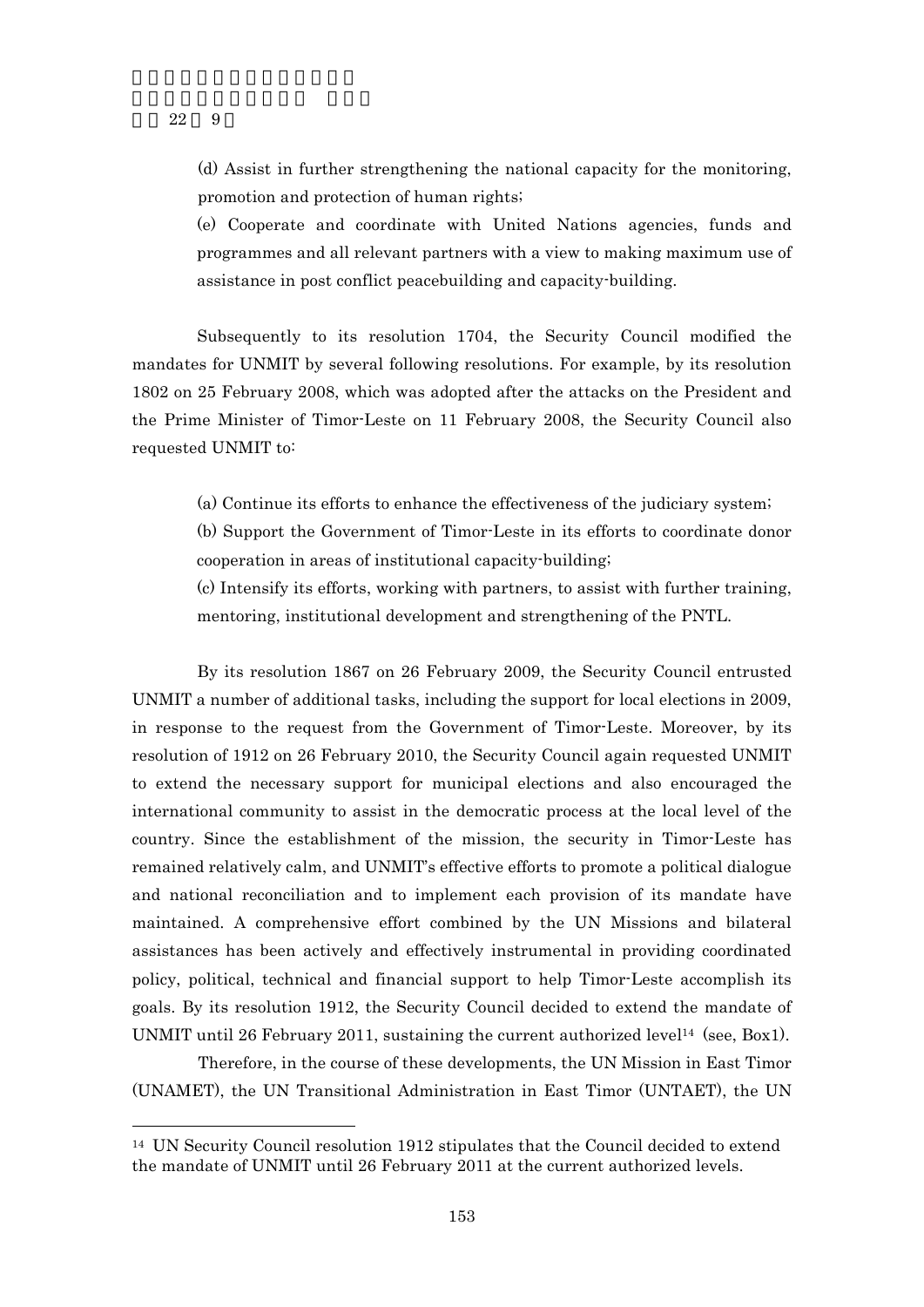## (d) Assist in further strengthening the national capacity for the monitoring, promotion and protection of human rights;

(e) Cooperate and coordinate with United Nations agencies, funds and programmes and all relevant partners with a view to making maximum use of assistance in post conflict peacebuilding and capacity-building.

Subsequently to its resolution 1704, the Security Council modified the mandates for UNMIT by several following resolutions. For example, by its resolution 1802 on 25 February 2008, which was adopted after the attacks on the President and the Prime Minister of Timor-Leste on 11 February 2008, the Security Council also requested UNMIT to:

(a) Continue its efforts to enhance the effectiveness of the judiciary system;

(b) Support the Government of Timor-Leste in its efforts to coordinate donor cooperation in areas of institutional capacity-building;

(c) Intensify its efforts, working with partners, to assist with further training, mentoring, institutional development and strengthening of the PNTL.

By its resolution 1867 on 26 February 2009, the Security Council entrusted UNMIT a number of additional tasks, including the support for local elections in 2009, in response to the request from the Government of Timor-Leste. Moreover, by its resolution of 1912 on 26 February 2010, the Security Council again requested UNMIT to extend the necessary support for municipal elections and also encouraged the international community to assist in the democratic process at the local level of the country. Since the establishment of the mission, the security in Timor-Leste has remained relatively calm, and UNMIT's effective efforts to promote a political dialogue and national reconciliation and to implement each provision of its mandate have maintained. A comprehensive effort combined by the UN Missions and bilateral assistances has been actively and effectively instrumental in providing coordinated policy, political, technical and financial support to help Timor-Leste accomplish its goals. By its resolution 1912, the Security Council decided to extend the mandate of UNMIT until 26 February 2011, sustaining the current authorized level<sup>14</sup> (see, Box1).

Therefore, in the course of these developments, the UN Mission in East Timor (UNAMET), the UN Transitional Administration in East Timor (UNTAET), the UN

22 9

 $\overline{a}$ 

<sup>14</sup> UN Security Council resolution 1912 stipulates that the Council decided to extend the mandate of UNMIT until 26 February 2011 at the current authorized levels.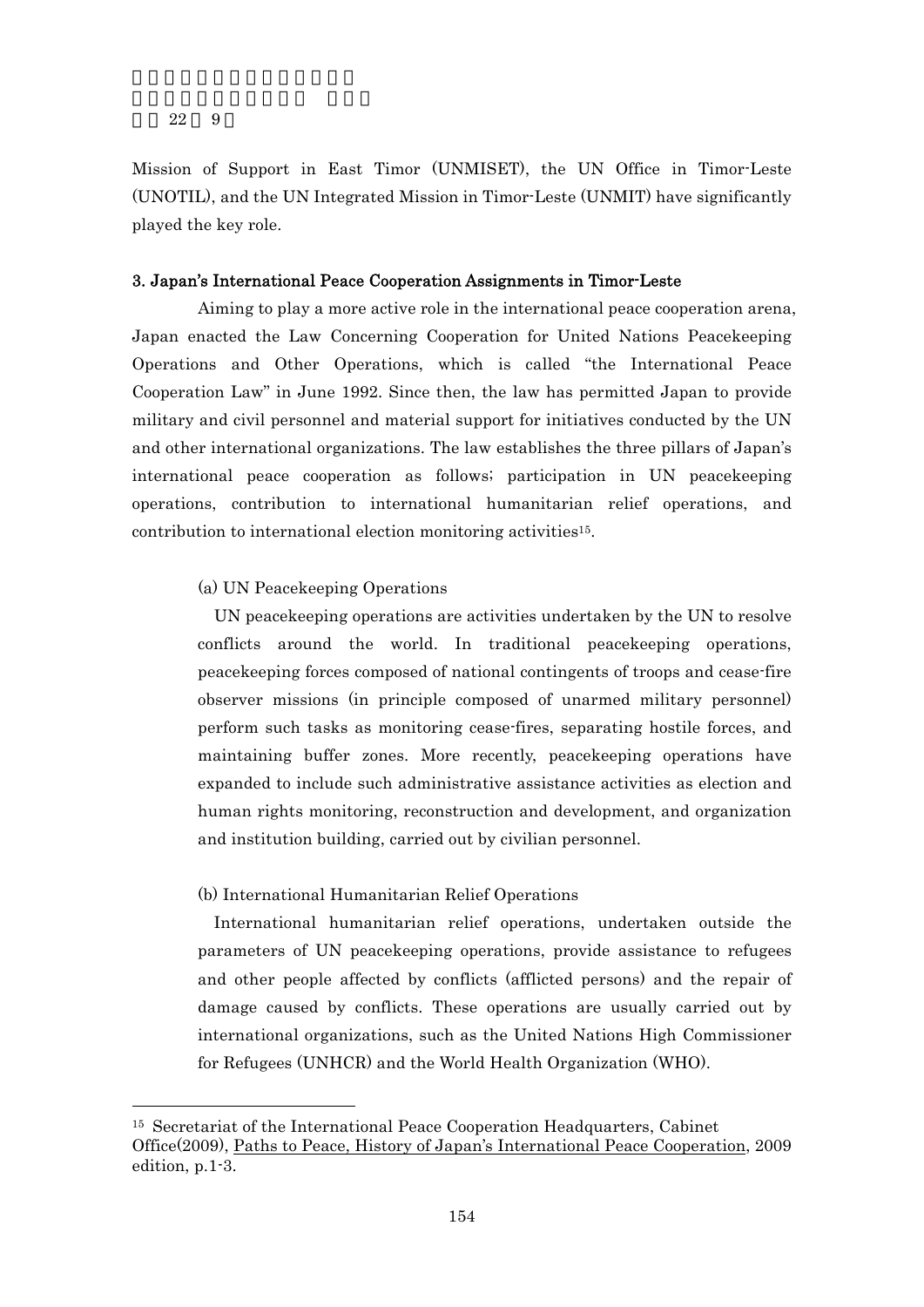-

Mission of Support in East Timor (UNMISET), the UN Office in Timor-Leste (UNOTIL), and the UN Integrated Mission in Timor-Leste (UNMIT) have significantly played the key role.

## 3. Japan's International Peace Cooperation Assignments in Timor-Leste

Aiming to play a more active role in the international peace cooperation arena, Japan enacted the Law Concerning Cooperation for United Nations Peacekeeping Operations and Other Operations, which is called "the International Peace Cooperation Law" in June 1992. Since then, the law has permitted Japan to provide military and civil personnel and material support for initiatives conducted by the UN and other international organizations. The law establishes the three pillars of Japan's international peace cooperation as follows; participation in UN peacekeeping operations, contribution to international humanitarian relief operations, and contribution to international election monitoring activities15.

### (a) UN Peacekeeping Operations

UN peacekeeping operations are activities undertaken by the UN to resolve conflicts around the world. In traditional peacekeeping operations, peacekeeping forces composed of national contingents of troops and cease-fire observer missions (in principle composed of unarmed military personnel) perform such tasks as monitoring cease-fires, separating hostile forces, and maintaining buffer zones. More recently, peacekeeping operations have expanded to include such administrative assistance activities as election and human rights monitoring, reconstruction and development, and organization and institution building, carried out by civilian personnel.

## (b) International Humanitarian Relief Operations

International humanitarian relief operations, undertaken outside the parameters of UN peacekeeping operations, provide assistance to refugees and other people affected by conflicts (afflicted persons) and the repair of damage caused by conflicts. These operations are usually carried out by international organizations, such as the United Nations High Commissioner for Refugees (UNHCR) and the World Health Organization (WHO).

<sup>15</sup> Secretariat of the International Peace Cooperation Headquarters, Cabinet Office(2009), Paths to Peace, History of Japan's International Peace Cooperation, 2009 edition, p.1-3.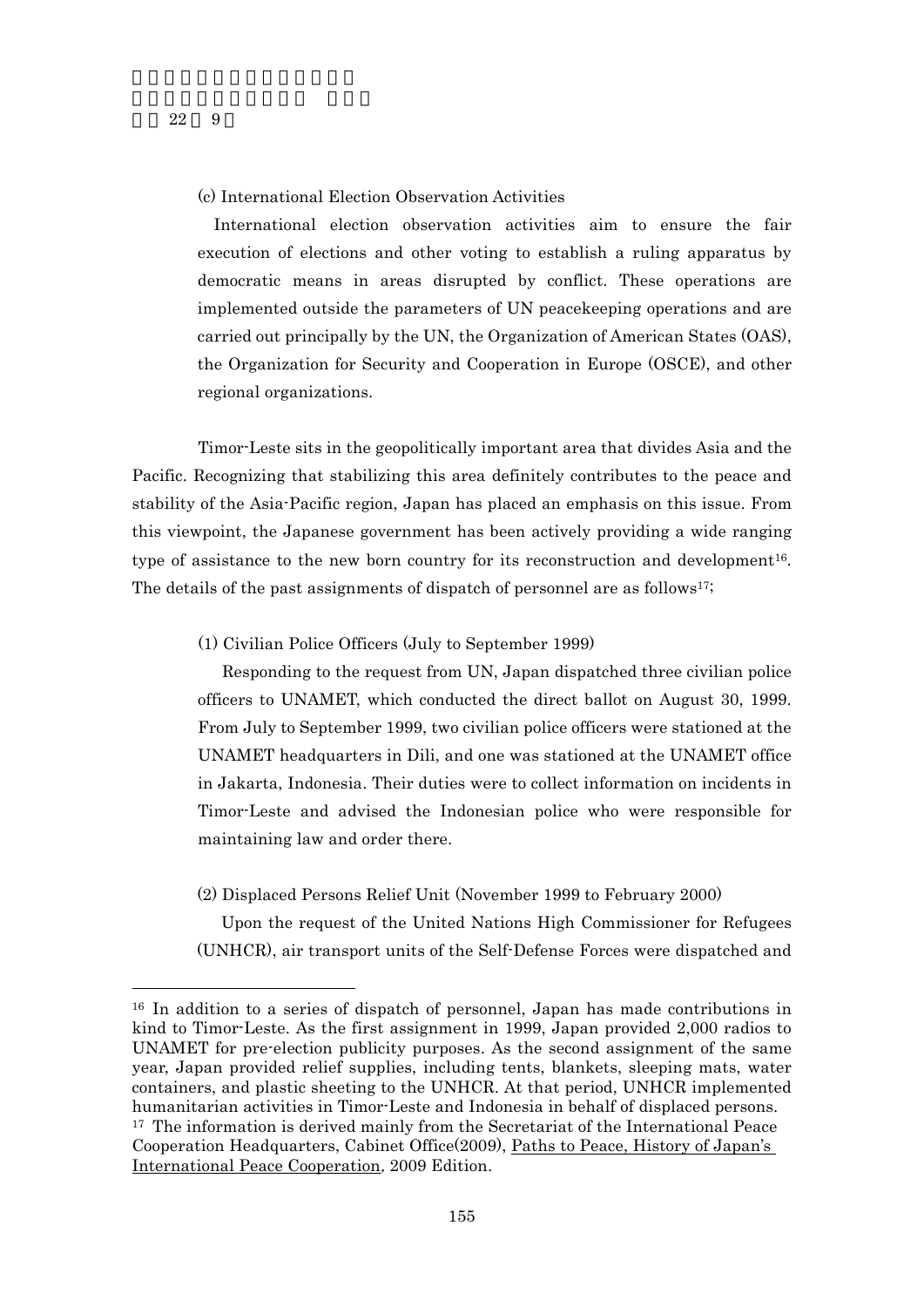$\overline{a}$ 

## (c) International Election Observation Activities

International election observation activities aim to ensure the fair execution of elections and other voting to establish a ruling apparatus by democratic means in areas disrupted by conflict. These operations are implemented outside the parameters of UN peacekeeping operations and are carried out principally by the UN, the Organization of American States (OAS), the Organization for Security and Cooperation in Europe (OSCE), and other regional organizations.

Timor-Leste sits in the geopolitically important area that divides Asia and the Pacific. Recognizing that stabilizing this area definitely contributes to the peace and stability of the Asia-Pacific region, Japan has placed an emphasis on this issue. From this viewpoint, the Japanese government has been actively providing a wide ranging type of assistance to the new born country for its reconstruction and development<sup>16</sup>. The details of the past assignments of dispatch of personnel are as follows17;

#### (1) Civilian Police Officers (July to September 1999)

Responding to the request from UN, Japan dispatched three civilian police officers to UNAMET, which conducted the direct ballot on August 30, 1999. From July to September 1999, two civilian police officers were stationed at the UNAMET headquarters in Dili, and one was stationed at the UNAMET office in Jakarta, Indonesia. Their duties were to collect information on incidents in Timor-Leste and advised the Indonesian police who were responsible for maintaining law and order there.

(2) Displaced Persons Relief Unit (November 1999 to February 2000)

Upon the request of the United Nations High Commissioner for Refugees (UNHCR), air transport units of the Self-Defense Forces were dispatched and

<sup>16</sup> In addition to a series of dispatch of personnel, Japan has made contributions in kind to Timor-Leste. As the first assignment in 1999, Japan provided 2,000 radios to UNAMET for pre-election publicity purposes. As the second assignment of the same year, Japan provided relief supplies, including tents, blankets, sleeping mats, water containers, and plastic sheeting to the UNHCR. At that period, UNHCR implemented humanitarian activities in Timor-Leste and Indonesia in behalf of displaced persons. 17 The information is derived mainly from the Secretariat of the International Peace Cooperation Headquarters, Cabinet Office(2009), Paths to Peace, History of Japan's International Peace Cooperation, 2009 Edition.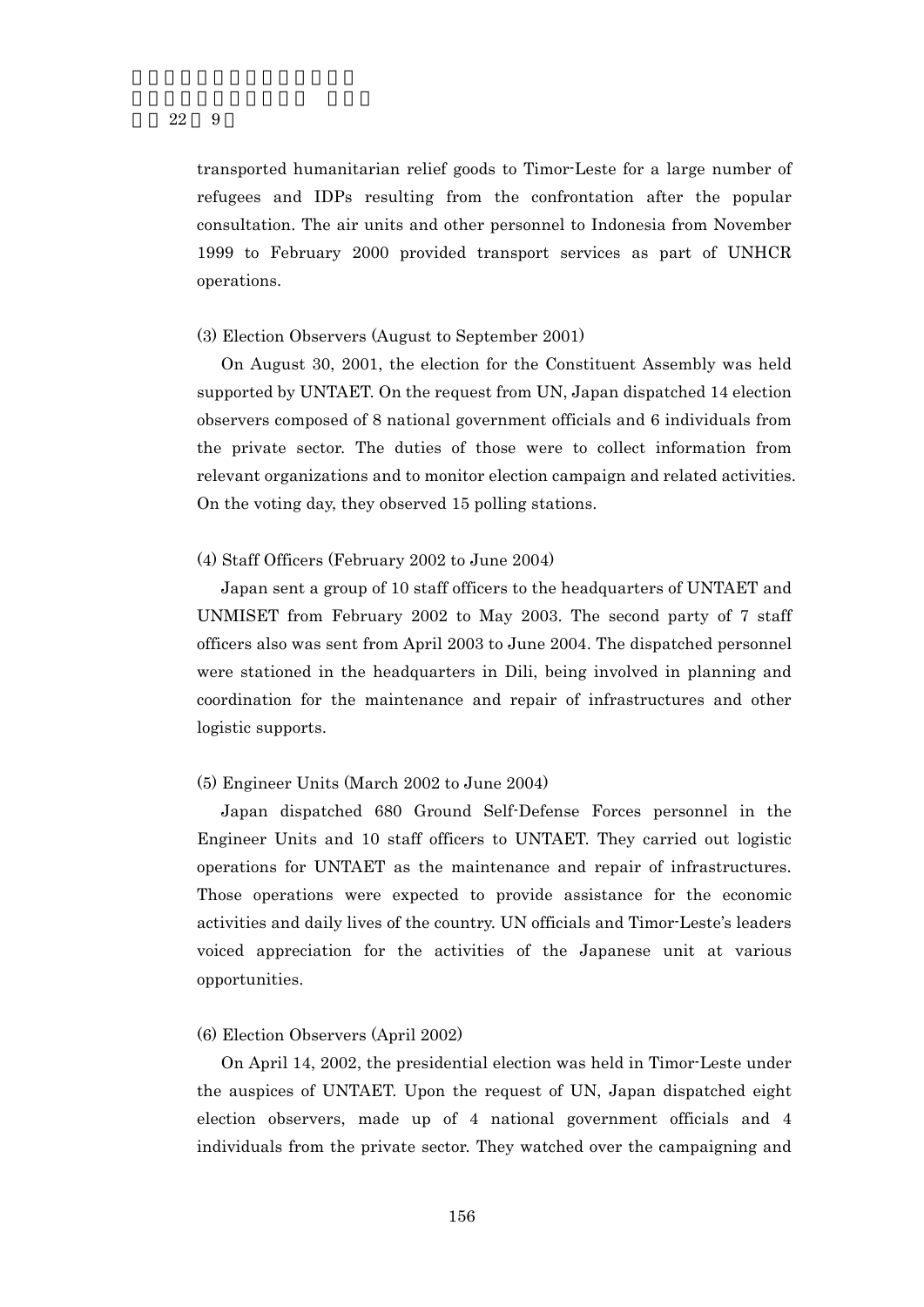transported humanitarian relief goods to Timor-Leste for a large number of refugees and IDPs resulting from the confrontation after the popular consultation. The air units and other personnel to Indonesia from November 1999 to February 2000 provided transport services as part of UNHCR operations.

#### (3) Election Observers (August to September 2001)

On August 30, 2001, the election for the Constituent Assembly was held supported by UNTAET. On the request from UN, Japan dispatched 14 election observers composed of 8 national government officials and 6 individuals from the private sector. The duties of those were to collect information from relevant organizations and to monitor election campaign and related activities. On the voting day, they observed 15 polling stations.

#### (4) Staff Officers (February 2002 to June 2004)

Japan sent a group of 10 staff officers to the headquarters of UNTAET and UNMISET from February 2002 to May 2003. The second party of 7 staff officers also was sent from April 2003 to June 2004. The dispatched personnel were stationed in the headquarters in Dili, being involved in planning and coordination for the maintenance and repair of infrastructures and other logistic supports.

#### (5) Engineer Units (March 2002 to June 2004)

Japan dispatched 680 Ground Self-Defense Forces personnel in the Engineer Units and 10 staff officers to UNTAET. They carried out logistic operations for UNTAET as the maintenance and repair of infrastructures. Those operations were expected to provide assistance for the economic activities and daily lives of the country. UN officials and Timor-Leste's leaders voiced appreciation for the activities of the Japanese unit at various opportunities.

#### (6) Election Observers (April 2002)

On April 14, 2002, the presidential election was held in Timor-Leste under the auspices of UNTAET. Upon the request of UN, Japan dispatched eight election observers, made up of 4 national government officials and 4 individuals from the private sector. They watched over the campaigning and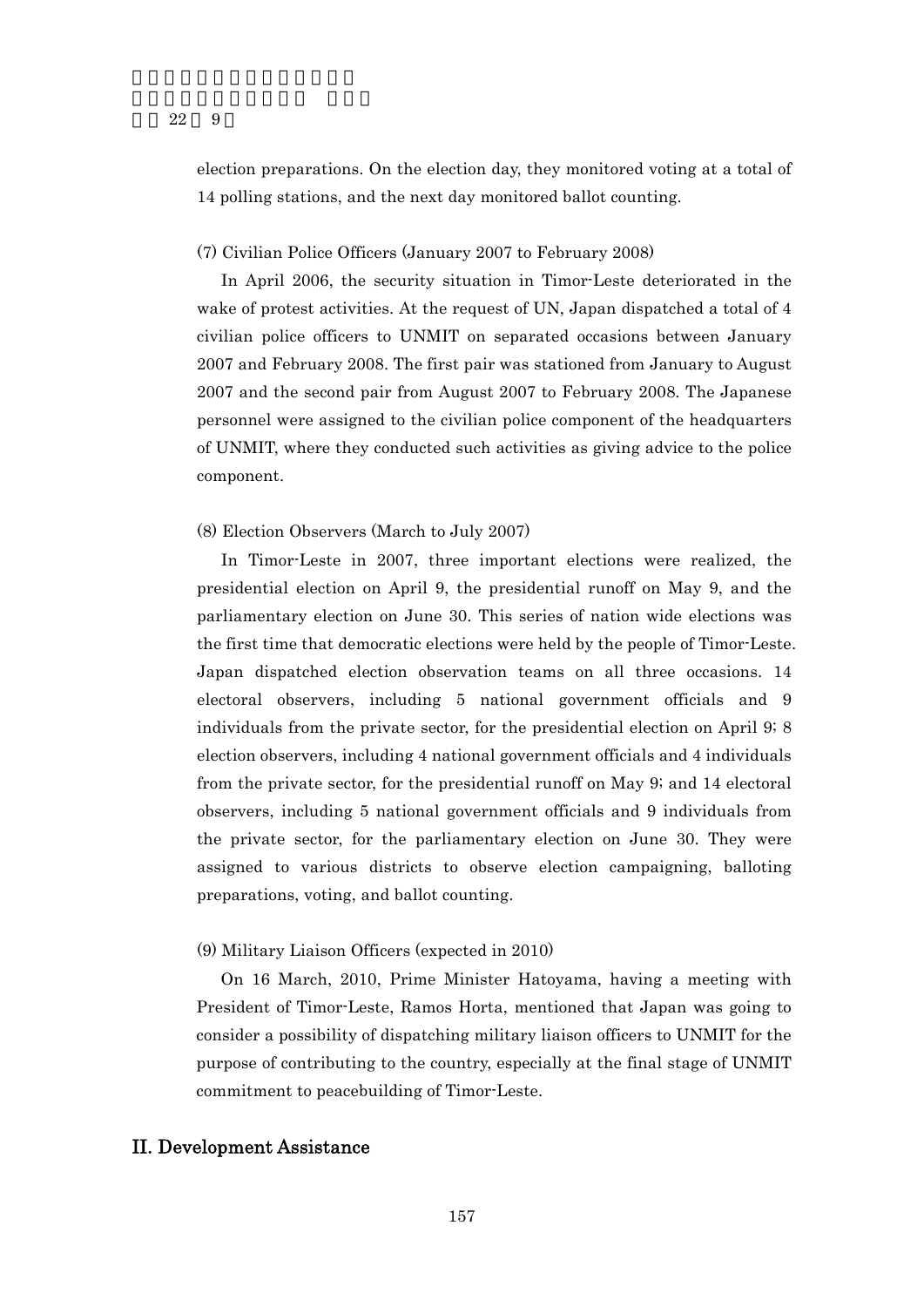election preparations. On the election day, they monitored voting at a total of 14 polling stations, and the next day monitored ballot counting.

#### (7) Civilian Police Officers (January 2007 to February 2008)

In April 2006, the security situation in Timor-Leste deteriorated in the wake of protest activities. At the request of UN, Japan dispatched a total of 4 civilian police officers to UNMIT on separated occasions between January 2007 and February 2008. The first pair was stationed from January to August 2007 and the second pair from August 2007 to February 2008. The Japanese personnel were assigned to the civilian police component of the headquarters of UNMIT, where they conducted such activities as giving advice to the police component.

#### (8) Election Observers (March to July 2007)

In Timor-Leste in 2007, three important elections were realized, the presidential election on April 9, the presidential runoff on May 9, and the parliamentary election on June 30. This series of nation wide elections was the first time that democratic elections were held by the people of Timor-Leste. Japan dispatched election observation teams on all three occasions. 14 electoral observers, including 5 national government officials and 9 individuals from the private sector, for the presidential election on April 9; 8 election observers, including 4 national government officials and 4 individuals from the private sector, for the presidential runoff on May 9; and 14 electoral observers, including 5 national government officials and 9 individuals from the private sector, for the parliamentary election on June 30. They were assigned to various districts to observe election campaigning, balloting preparations, voting, and ballot counting.

#### (9) Military Liaison Officers (expected in 2010)

On 16 March, 2010, Prime Minister Hatoyama, having a meeting with President of Timor-Leste, Ramos Horta, mentioned that Japan was going to consider a possibility of dispatching military liaison officers to UNMIT for the purpose of contributing to the country, especially at the final stage of UNMIT commitment to peacebuilding of Timor-Leste.

## II. Development Assistance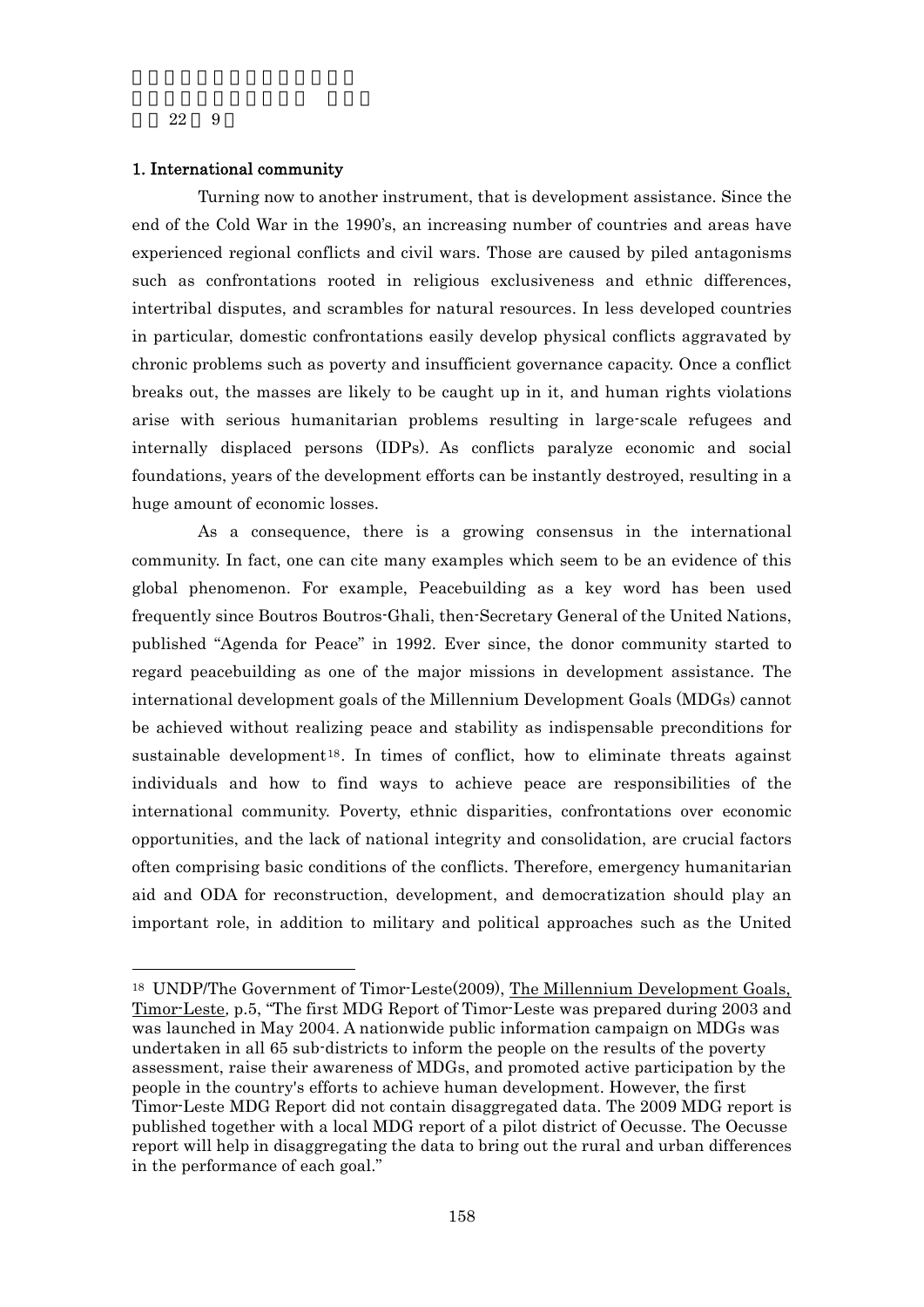-

#### 1. International community

Turning now to another instrument, that is development assistance. Since the end of the Cold War in the 1990's, an increasing number of countries and areas have experienced regional conflicts and civil wars. Those are caused by piled antagonisms such as confrontations rooted in religious exclusiveness and ethnic differences, intertribal disputes, and scrambles for natural resources. In less developed countries in particular, domestic confrontations easily develop physical conflicts aggravated by chronic problems such as poverty and insufficient governance capacity. Once a conflict breaks out, the masses are likely to be caught up in it, and human rights violations arise with serious humanitarian problems resulting in large-scale refugees and internally displaced persons (IDPs). As conflicts paralyze economic and social foundations, years of the development efforts can be instantly destroyed, resulting in a huge amount of economic losses.

As a consequence, there is a growing consensus in the international community. In fact, one can cite many examples which seem to be an evidence of this global phenomenon. For example, Peacebuilding as a key word has been used frequently since Boutros Boutros-Ghali, then-Secretary General of the United Nations, published "Agenda for Peace" in 1992. Ever since, the donor community started to regard peacebuilding as one of the major missions in development assistance. The international development goals of the Millennium Development Goals (MDGs) cannot be achieved without realizing peace and stability as indispensable preconditions for sustainable development<sup>18</sup>. In times of conflict, how to eliminate threats against individuals and how to find ways to achieve peace are responsibilities of the international community. Poverty, ethnic disparities, confrontations over economic opportunities, and the lack of national integrity and consolidation, are crucial factors often comprising basic conditions of the conflicts. Therefore, emergency humanitarian aid and ODA for reconstruction, development, and democratization should play an important role, in addition to military and political approaches such as the United

<sup>18</sup> UNDP/The Government of Timor-Leste(2009), The Millennium Development Goals, Timor-Leste, p.5, "The first MDG Report of Timor-Leste was prepared during 2003 and was launched in May 2004. A nationwide public information campaign on MDGs was undertaken in all 65 sub-districts to inform the people on the results of the poverty assessment, raise their awareness of MDGs, and promoted active participation by the people in the country's efforts to achieve human development. However, the first Timor-Leste MDG Report did not contain disaggregated data. The 2009 MDG report is published together with a local MDG report of a pilot district of Oecusse. The Oecusse report will help in disaggregating the data to bring out the rural and urban differences in the performance of each goal."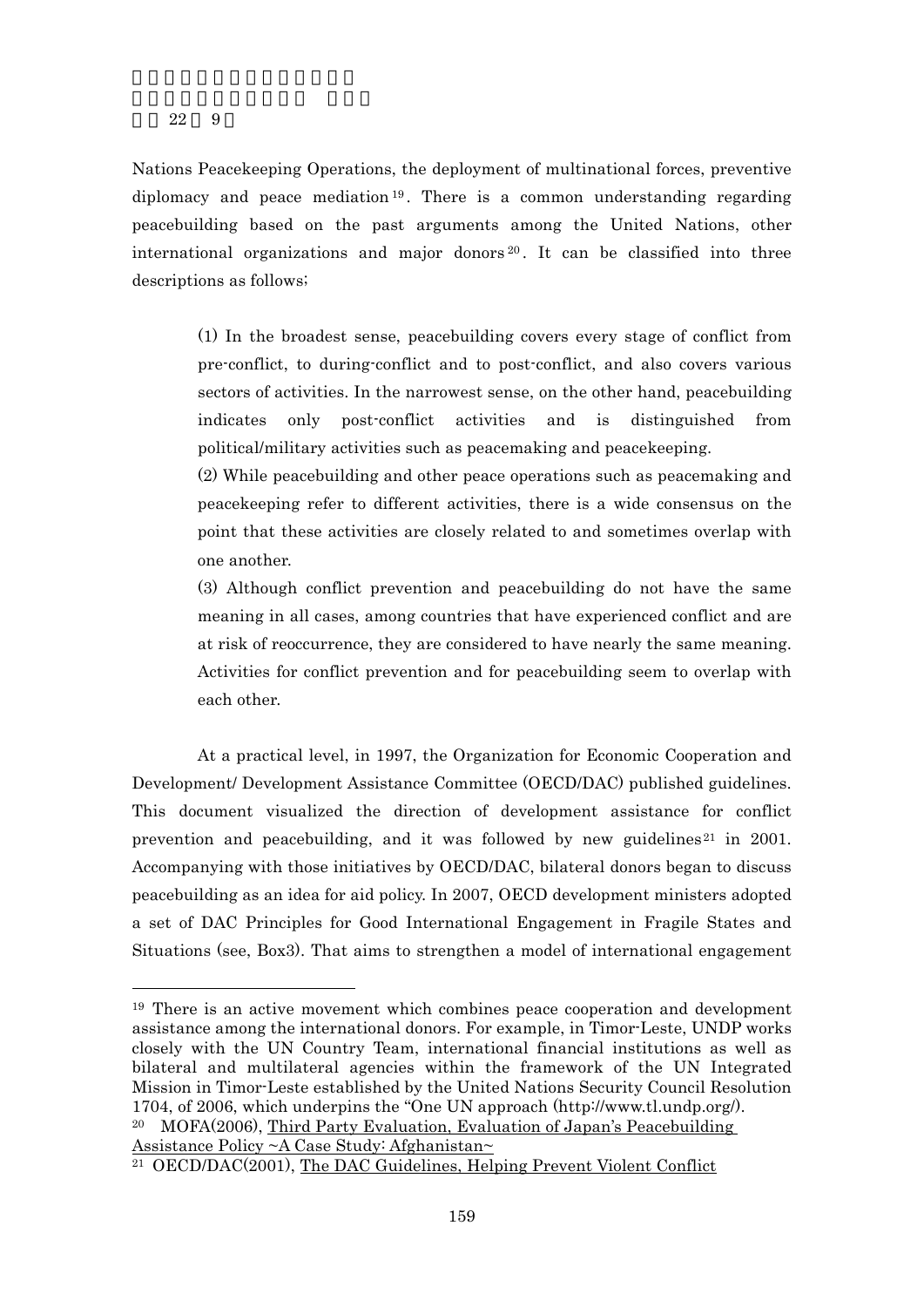$\overline{a}$ 

Nations Peacekeeping Operations, the deployment of multinational forces, preventive diplomacy and peace mediation  $19$ . There is a common understanding regarding peacebuilding based on the past arguments among the United Nations, other international organizations and major donors  $20$ . It can be classified into three descriptions as follows;

(1) In the broadest sense, peacebuilding covers every stage of conflict from pre-conflict, to during-conflict and to post-conflict, and also covers various sectors of activities. In the narrowest sense, on the other hand, peacebuilding indicates only post-conflict activities and is distinguished from political/military activities such as peacemaking and peacekeeping.

(2) While peacebuilding and other peace operations such as peacemaking and peacekeeping refer to different activities, there is a wide consensus on the point that these activities are closely related to and sometimes overlap with one another.

(3) Although conflict prevention and peacebuilding do not have the same meaning in all cases, among countries that have experienced conflict and are at risk of reoccurrence, they are considered to have nearly the same meaning. Activities for conflict prevention and for peacebuilding seem to overlap with each other.

At a practical level, in 1997, the Organization for Economic Cooperation and Development/ Development Assistance Committee (OECD/DAC) published guidelines. This document visualized the direction of development assistance for conflict prevention and peacebuilding, and it was followed by new guidelines  $21$  in 2001. Accompanying with those initiatives by OECD/DAC, bilateral donors began to discuss peacebuilding as an idea for aid policy. In 2007, OECD development ministers adopted a set of DAC Principles for Good International Engagement in Fragile States and Situations (see, Box3). That aims to strengthen a model of international engagement

20 MOFA(2006), Third Party Evaluation, Evaluation of Japan's Peacebuilding Assistance Policy ~A Case Study: Afghanistan~

<sup>19</sup> There is an active movement which combines peace cooperation and development assistance among the international donors. For example, in Timor-Leste, UNDP works closely with the UN Country Team, international financial institutions as well as bilateral and multilateral agencies within the framework of the UN Integrated Mission in Timor-Leste established by the United Nations Security Council Resolution 1704, of 2006, which underpins the "One UN approach (http://www.tl.undp.org/).

<sup>21</sup> OECD/DAC(2001), The DAC Guidelines, Helping Prevent Violent Conflict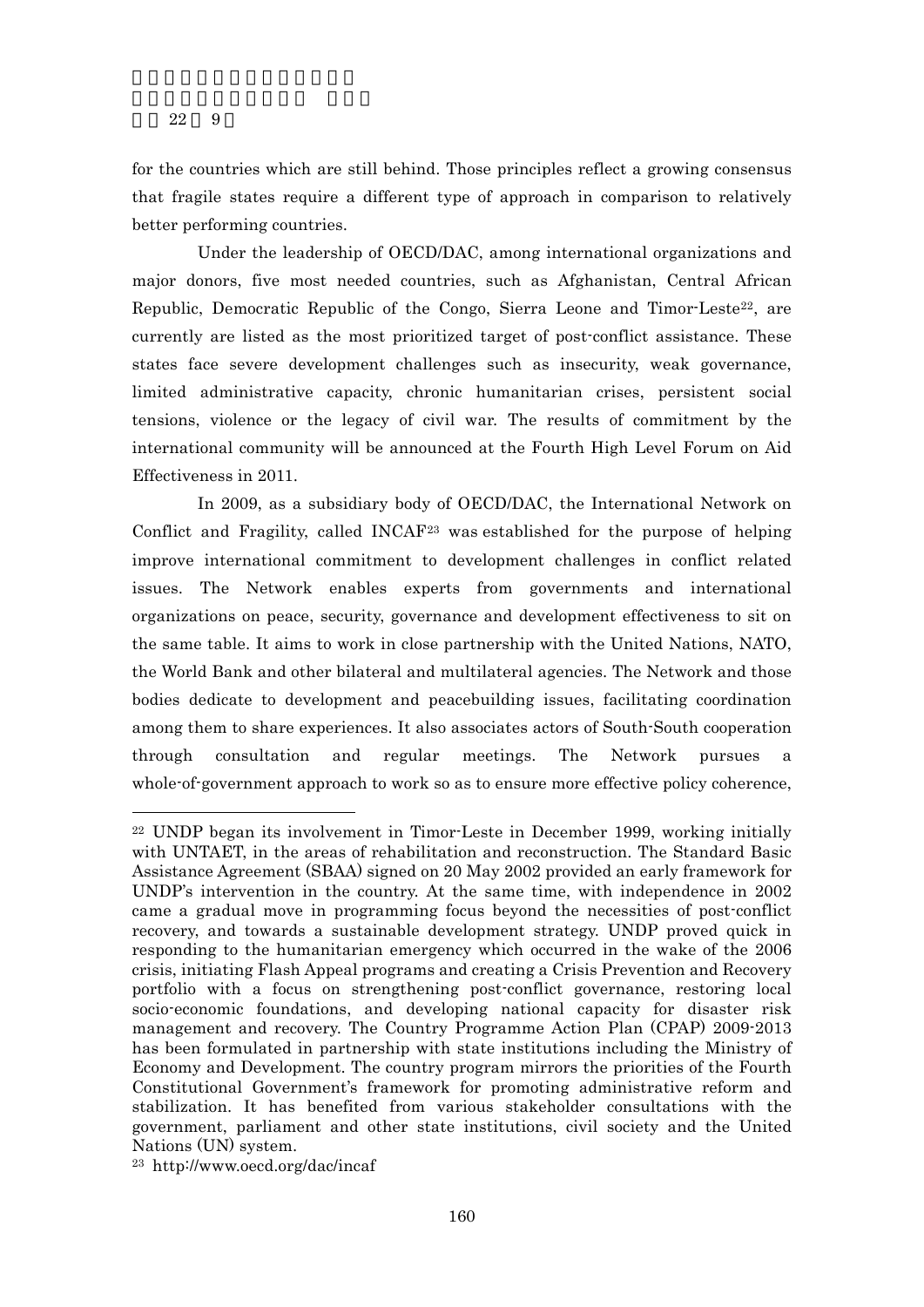for the countries which are still behind. Those principles reflect a growing consensus that fragile states require a different type of approach in comparison to relatively better performing countries.

Under the leadership of OECD/DAC, among international organizations and major donors, five most needed countries, such as Afghanistan, Central African Republic, Democratic Republic of the Congo, Sierra Leone and Timor-Leste<sup>22</sup>, are currently are listed as the most prioritized target of post-conflict assistance. These states face severe development challenges such as insecurity, weak governance, limited administrative capacity, chronic humanitarian crises, persistent social tensions, violence or the legacy of civil war. The results of commitment by the international community will be announced at the Fourth High Level Forum on Aid Effectiveness in 2011.

In 2009, as a subsidiary body of OECD/DAC, the International Network on Conflict and Fragility, called INCAF23 was established for the purpose of helping improve international commitment to development challenges in conflict related issues. The Network enables experts from governments and international organizations on peace, security, governance and development effectiveness to sit on the same table. It aims to work in close partnership with the United Nations, NATO, the World Bank and other bilateral and multilateral agencies. The Network and those bodies dedicate to development and peacebuilding issues, facilitating coordination among them to share experiences. It also associates actors of South-South cooperation through consultation and regular meetings. The Network pursues a whole-of-government approach to work so as to ensure more effective policy coherence,

 $\overline{a}$ 

<sup>22</sup> UNDP began its involvement in Timor-Leste in December 1999, working initially with UNTAET, in the areas of rehabilitation and reconstruction. The Standard Basic Assistance Agreement (SBAA) signed on 20 May 2002 provided an early framework for UNDP's intervention in the country. At the same time, with independence in 2002 came a gradual move in programming focus beyond the necessities of post-conflict recovery, and towards a sustainable development strategy. UNDP proved quick in responding to the humanitarian emergency which occurred in the wake of the 2006 crisis, initiating Flash Appeal programs and creating a Crisis Prevention and Recovery portfolio with a focus on strengthening post-conflict governance, restoring local socio-economic foundations, and developing national capacity for disaster risk management and recovery. The Country Programme Action Plan (CPAP) 2009-2013 has been formulated in partnership with state institutions including the Ministry of Economy and Development. The country program mirrors the priorities of the Fourth Constitutional Government's framework for promoting administrative reform and stabilization. It has benefited from various stakeholder consultations with the government, parliament and other state institutions, civil society and the United Nations (UN) system.

<sup>23</sup> http://www.oecd.org/dac/incaf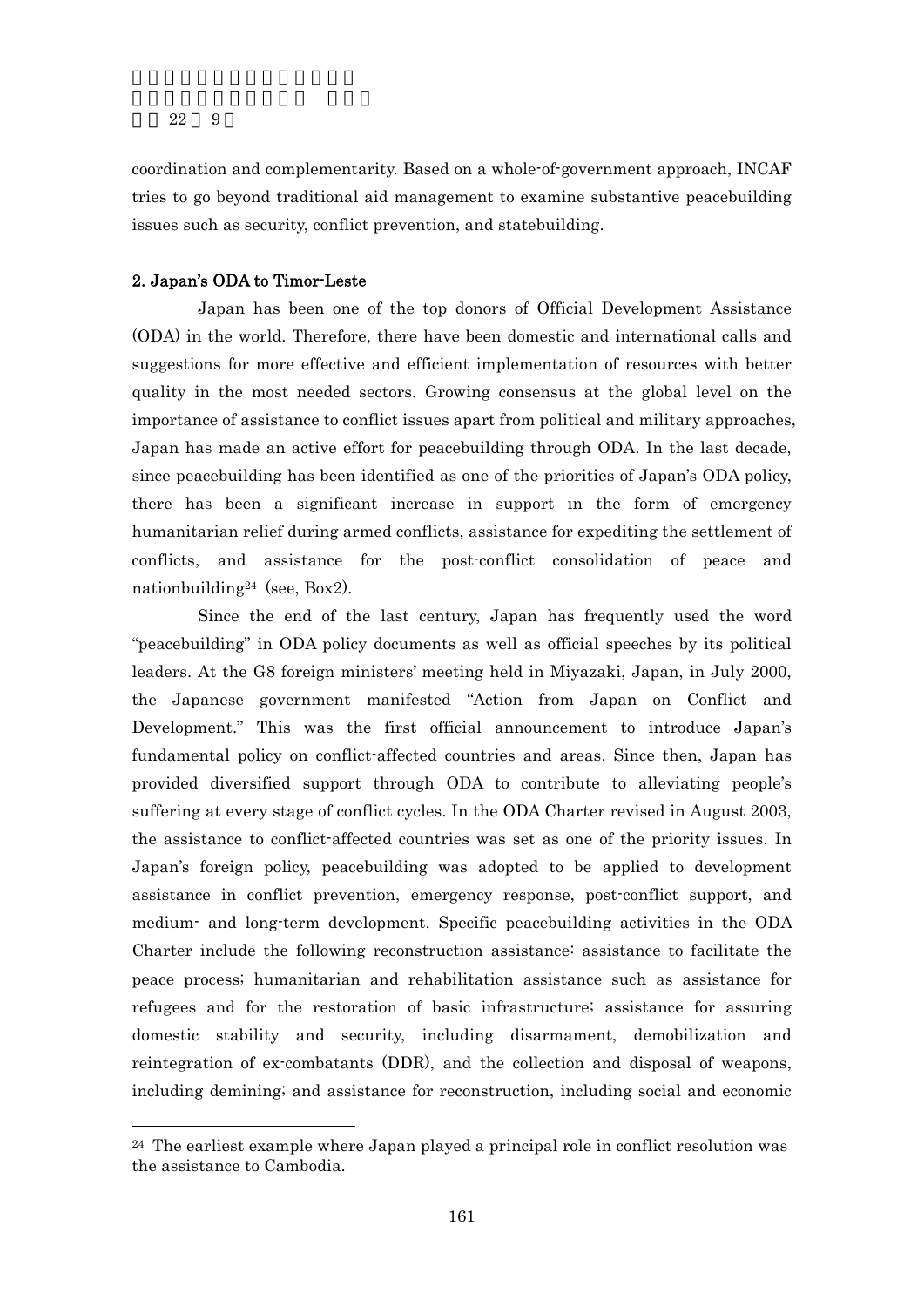$\overline{a}$ 

coordination and complementarity. Based on a whole-of-government approach, INCAF tries to go beyond traditional aid management to examine substantive peacebuilding issues such as security, conflict prevention, and statebuilding.

#### 2. Japan's ODA to Timor-Leste

Japan has been one of the top donors of Official Development Assistance (ODA) in the world. Therefore, there have been domestic and international calls and suggestions for more effective and efficient implementation of resources with better quality in the most needed sectors. Growing consensus at the global level on the importance of assistance to conflict issues apart from political and military approaches, Japan has made an active effort for peacebuilding through ODA. In the last decade, since peacebuilding has been identified as one of the priorities of Japan's ODA policy, there has been a significant increase in support in the form of emergency humanitarian relief during armed conflicts, assistance for expediting the settlement of conflicts, and assistance for the post-conflict consolidation of peace and nationbuilding24 (see, Box2).

Since the end of the last century, Japan has frequently used the word "peacebuilding" in ODA policy documents as well as official speeches by its political leaders. At the G8 foreign ministers' meeting held in Miyazaki, Japan, in July 2000, the Japanese government manifested "Action from Japan on Conflict and Development." This was the first official announcement to introduce Japan's fundamental policy on conflict-affected countries and areas. Since then, Japan has provided diversified support through ODA to contribute to alleviating people's suffering at every stage of conflict cycles. In the ODA Charter revised in August 2003, the assistance to conflict-affected countries was set as one of the priority issues. In Japan's foreign policy, peacebuilding was adopted to be applied to development assistance in conflict prevention, emergency response, post-conflict support, and medium- and long-term development. Specific peacebuilding activities in the ODA Charter include the following reconstruction assistance: assistance to facilitate the peace process; humanitarian and rehabilitation assistance such as assistance for refugees and for the restoration of basic infrastructure; assistance for assuring domestic stability and security, including disarmament, demobilization and reintegration of ex-combatants (DDR), and the collection and disposal of weapons, including demining; and assistance for reconstruction, including social and economic

 $24$  The earliest example where Japan played a principal role in conflict resolution was the assistance to Cambodia.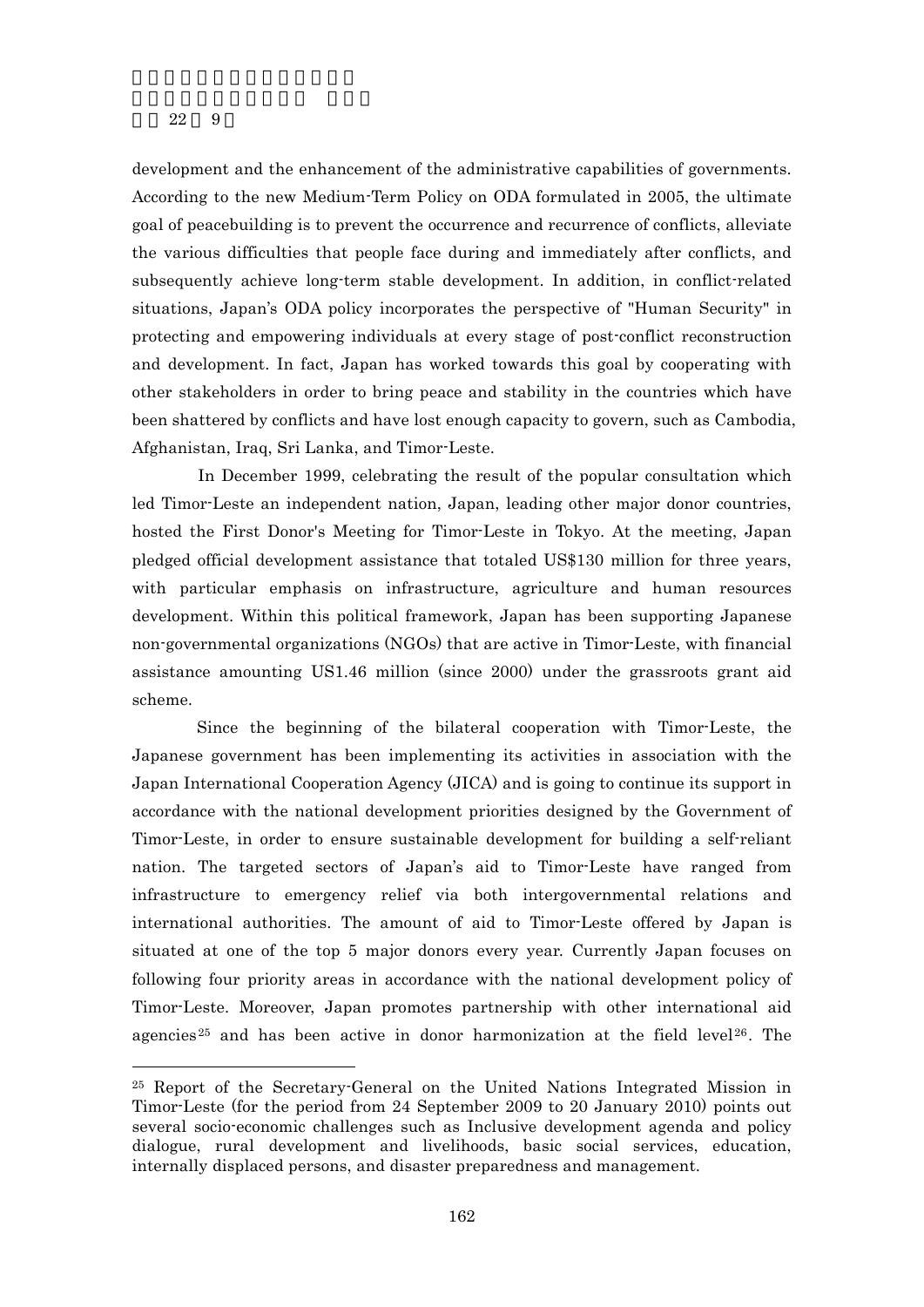$\overline{a}$ 

development and the enhancement of the administrative capabilities of governments. According to the new Medium-Term Policy on ODA formulated in 2005, the ultimate goal of peacebuilding is to prevent the occurrence and recurrence of conflicts, alleviate the various difficulties that people face during and immediately after conflicts, and subsequently achieve long-term stable development. In addition, in conflict-related situations, Japan's ODA policy incorporates the perspective of "Human Security" in protecting and empowering individuals at every stage of post-conflict reconstruction and development. In fact, Japan has worked towards this goal by cooperating with other stakeholders in order to bring peace and stability in the countries which have been shattered by conflicts and have lost enough capacity to govern, such as Cambodia, Afghanistan, Iraq, Sri Lanka, and Timor-Leste.

In December 1999, celebrating the result of the popular consultation which led Timor-Leste an independent nation, Japan, leading other major donor countries, hosted the First Donor's Meeting for Timor-Leste in Tokyo. At the meeting, Japan pledged official development assistance that totaled US\$130 million for three years, with particular emphasis on infrastructure, agriculture and human resources development. Within this political framework, Japan has been supporting Japanese non-governmental organizations (NGOs) that are active in Timor-Leste, with financial assistance amounting US1.46 million (since 2000) under the grassroots grant aid scheme.

Since the beginning of the bilateral cooperation with Timor-Leste, the Japanese government has been implementing its activities in association with the Japan International Cooperation Agency (JICA) and is going to continue its support in accordance with the national development priorities designed by the Government of Timor-Leste, in order to ensure sustainable development for building a self-reliant nation. The targeted sectors of Japan's aid to Timor-Leste have ranged from infrastructure to emergency relief via both intergovernmental relations and international authorities. The amount of aid to Timor-Leste offered by Japan is situated at one of the top 5 major donors every year. Currently Japan focuses on following four priority areas in accordance with the national development policy of Timor-Leste. Moreover, Japan promotes partnership with other international aid agencies<sup>25</sup> and has been active in donor harmonization at the field level<sup>26</sup>. The

<sup>25</sup> Report of the Secretary-General on the United Nations Integrated Mission in Timor-Leste (for the period from 24 September 2009 to 20 January 2010) points out several socio-economic challenges such as Inclusive development agenda and policy dialogue, rural development and livelihoods, basic social services, education, internally displaced persons, and disaster preparedness and management.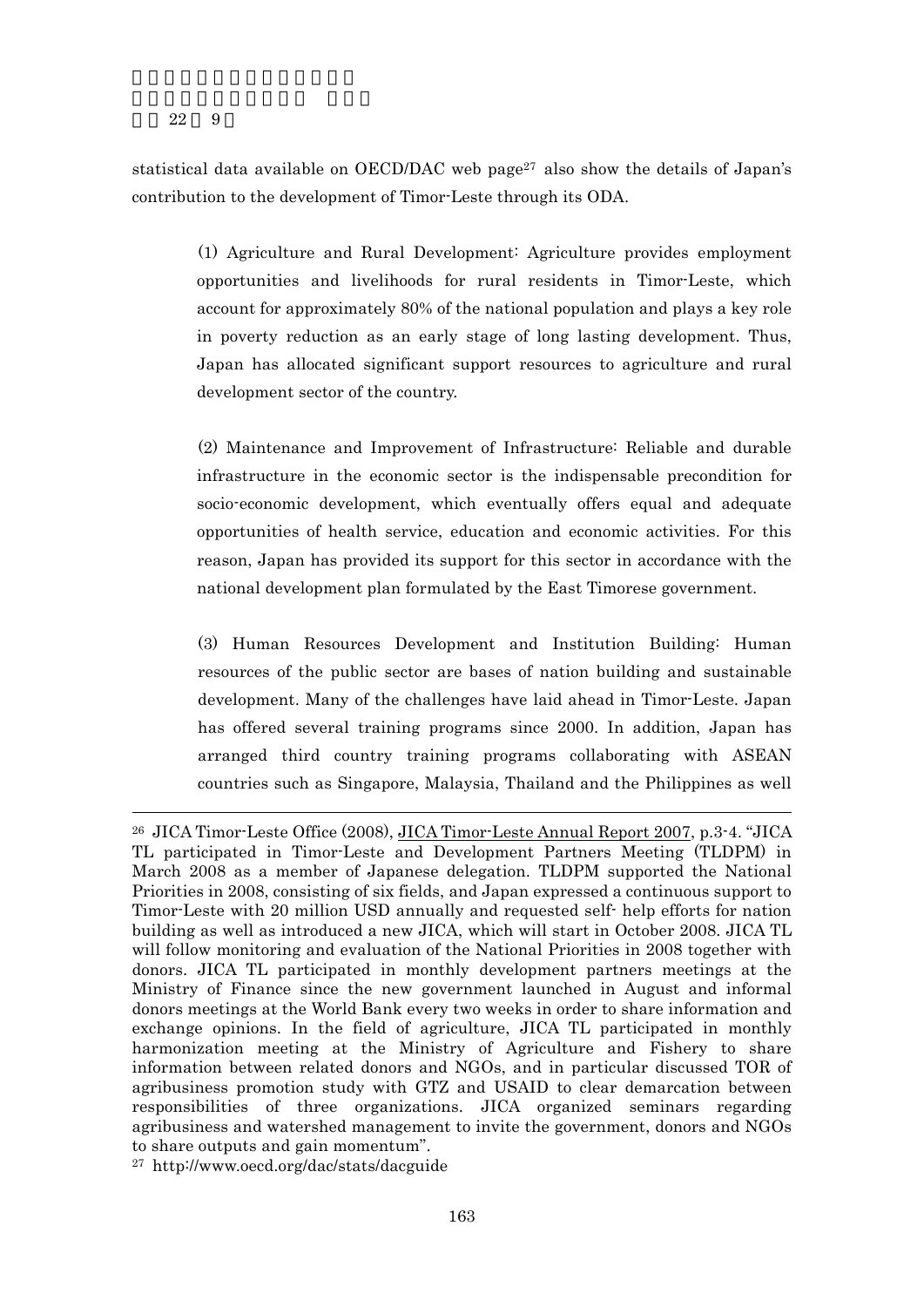$\overline{a}$ 

statistical data available on OECD/DAC web page<sup>27</sup> also show the details of Japan's contribution to the development of Timor-Leste through its ODA.

(1) Agriculture and Rural Development: Agriculture provides employment opportunities and livelihoods for rural residents in Timor-Leste, which account for approximately 80% of the national population and plays a key role in poverty reduction as an early stage of long lasting development. Thus, Japan has allocated significant support resources to agriculture and rural development sector of the country.

(2) Maintenance and Improvement of Infrastructure: Reliable and durable infrastructure in the economic sector is the indispensable precondition for socio-economic development, which eventually offers equal and adequate opportunities of health service, education and economic activities. For this reason, Japan has provided its support for this sector in accordance with the national development plan formulated by the East Timorese government.

(3) Human Resources Development and Institution Building: Human resources of the public sector are bases of nation building and sustainable development. Many of the challenges have laid ahead in Timor-Leste. Japan has offered several training programs since 2000. In addition, Japan has arranged third country training programs collaborating with ASEAN countries such as Singapore, Malaysia, Thailand and the Philippines as well

<sup>26</sup> JICA Timor-Leste Office (2008), JICA Timor-Leste Annual Report 2007, p.3-4. "JICA TL participated in Timor-Leste and Development Partners Meeting (TLDPM) in March 2008 as a member of Japanese delegation. TLDPM supported the National Priorities in 2008, consisting of six fields, and Japan expressed a continuous support to Timor-Leste with 20 million USD annually and requested self- help efforts for nation building as well as introduced a new JICA, which will start in October 2008. JICA TL will follow monitoring and evaluation of the National Priorities in 2008 together with donors. JICA TL participated in monthly development partners meetings at the Ministry of Finance since the new government launched in August and informal donors meetings at the World Bank every two weeks in order to share information and exchange opinions. In the field of agriculture, JICA TL participated in monthly harmonization meeting at the Ministry of Agriculture and Fishery to share information between related donors and NGOs, and in particular discussed TOR of agribusiness promotion study with GTZ and USAID to clear demarcation between responsibilities of three organizations. JICA organized seminars regarding agribusiness and watershed management to invite the government, donors and NGOs to share outputs and gain momentum".

<sup>27</sup> http://www.oecd.org/dac/stats/dacguide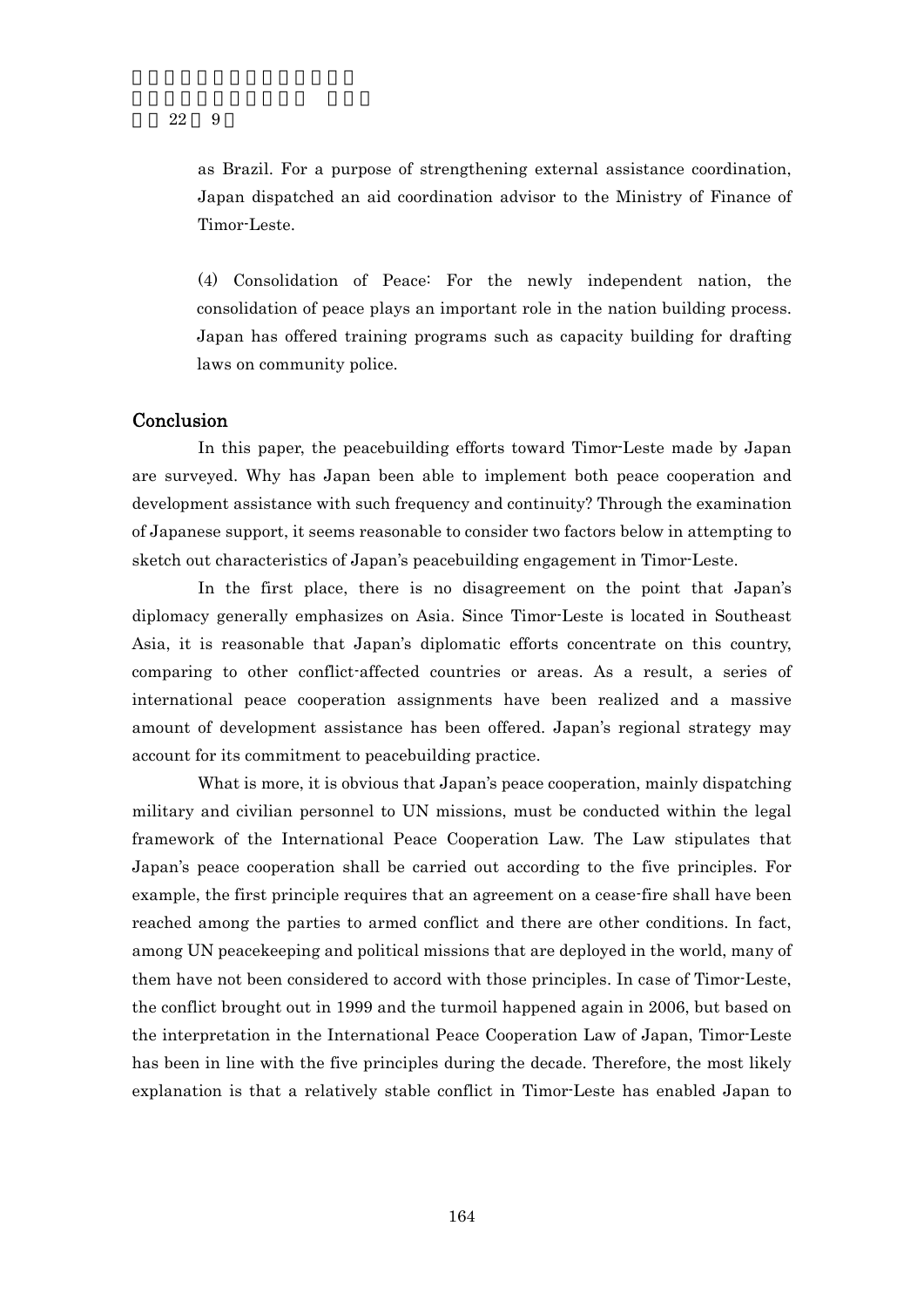as Brazil. For a purpose of strengthening external assistance coordination, Japan dispatched an aid coordination advisor to the Ministry of Finance of Timor-Leste.

(4) Consolidation of Peace: For the newly independent nation, the consolidation of peace plays an important role in the nation building process. Japan has offered training programs such as capacity building for drafting laws on community police.

## Conclusion

In this paper, the peacebuilding efforts toward Timor-Leste made by Japan are surveyed. Why has Japan been able to implement both peace cooperation and development assistance with such frequency and continuity? Through the examination of Japanese support, it seems reasonable to consider two factors below in attempting to sketch out characteristics of Japan's peacebuilding engagement in Timor-Leste.

In the first place, there is no disagreement on the point that Japan's diplomacy generally emphasizes on Asia. Since Timor-Leste is located in Southeast Asia, it is reasonable that Japan's diplomatic efforts concentrate on this country, comparing to other conflict-affected countries or areas. As a result, a series of international peace cooperation assignments have been realized and a massive amount of development assistance has been offered. Japan's regional strategy may account for its commitment to peacebuilding practice.

What is more, it is obvious that Japan's peace cooperation, mainly dispatching military and civilian personnel to UN missions, must be conducted within the legal framework of the International Peace Cooperation Law. The Law stipulates that Japan's peace cooperation shall be carried out according to the five principles. For example, the first principle requires that an agreement on a cease-fire shall have been reached among the parties to armed conflict and there are other conditions. In fact, among UN peacekeeping and political missions that are deployed in the world, many of them have not been considered to accord with those principles. In case of Timor-Leste, the conflict brought out in 1999 and the turmoil happened again in 2006, but based on the interpretation in the International Peace Cooperation Law of Japan, Timor-Leste has been in line with the five principles during the decade. Therefore, the most likely explanation is that a relatively stable conflict in Timor-Leste has enabled Japan to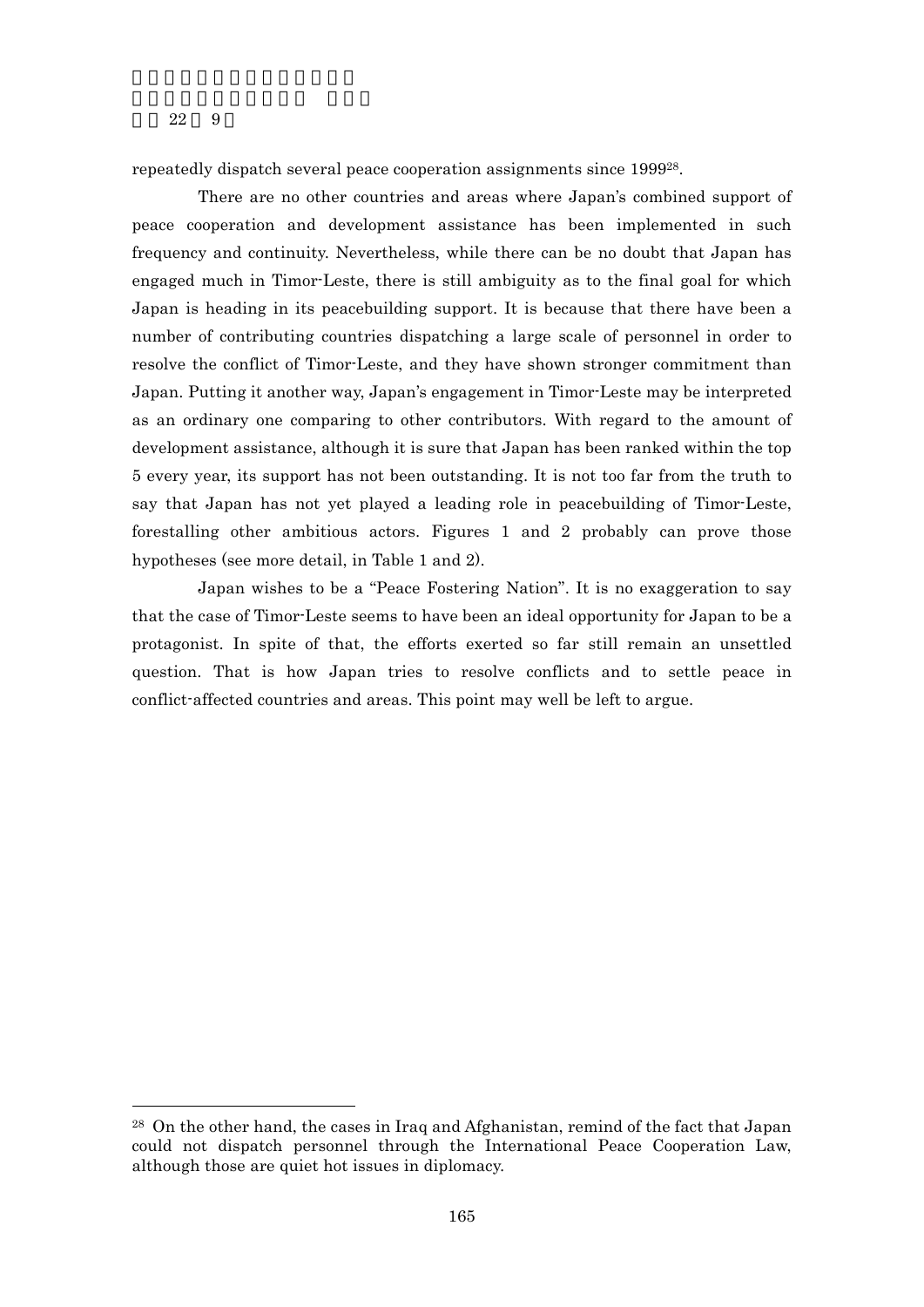-

repeatedly dispatch several peace cooperation assignments since 199928.

There are no other countries and areas where Japan's combined support of peace cooperation and development assistance has been implemented in such frequency and continuity. Nevertheless, while there can be no doubt that Japan has engaged much in Timor-Leste, there is still ambiguity as to the final goal for which Japan is heading in its peacebuilding support. It is because that there have been a number of contributing countries dispatching a large scale of personnel in order to resolve the conflict of Timor-Leste, and they have shown stronger commitment than Japan. Putting it another way, Japan's engagement in Timor-Leste may be interpreted as an ordinary one comparing to other contributors. With regard to the amount of development assistance, although it is sure that Japan has been ranked within the top 5 every year, its support has not been outstanding. It is not too far from the truth to say that Japan has not yet played a leading role in peacebuilding of Timor-Leste, forestalling other ambitious actors. Figures 1 and 2 probably can prove those hypotheses (see more detail, in Table 1 and 2).

Japan wishes to be a "Peace Fostering Nation". It is no exaggeration to say that the case of Timor-Leste seems to have been an ideal opportunity for Japan to be a protagonist. In spite of that, the efforts exerted so far still remain an unsettled question. That is how Japan tries to resolve conflicts and to settle peace in conflict-affected countries and areas. This point may well be left to argue.

<sup>28</sup> On the other hand, the cases in Iraq and Afghanistan, remind of the fact that Japan could not dispatch personnel through the International Peace Cooperation Law, although those are quiet hot issues in diplomacy.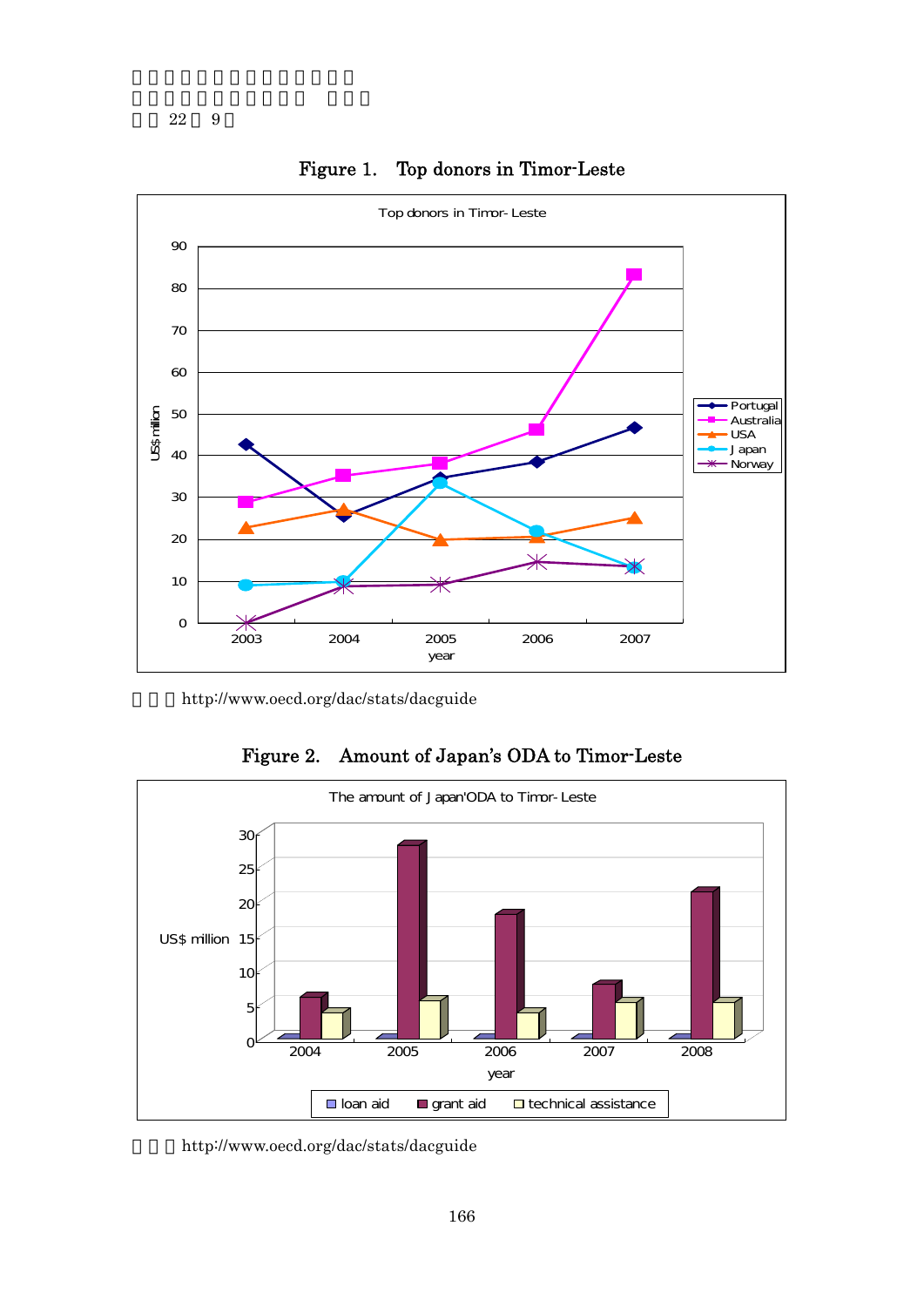

Figure 1. Top donors in Timor-Leste

http://www.oecd.org/dac/stats/dacguide



Figure 2. Amount of Japan's ODA to Timor-Leste

http://www.oecd.org/dac/stats/dacguide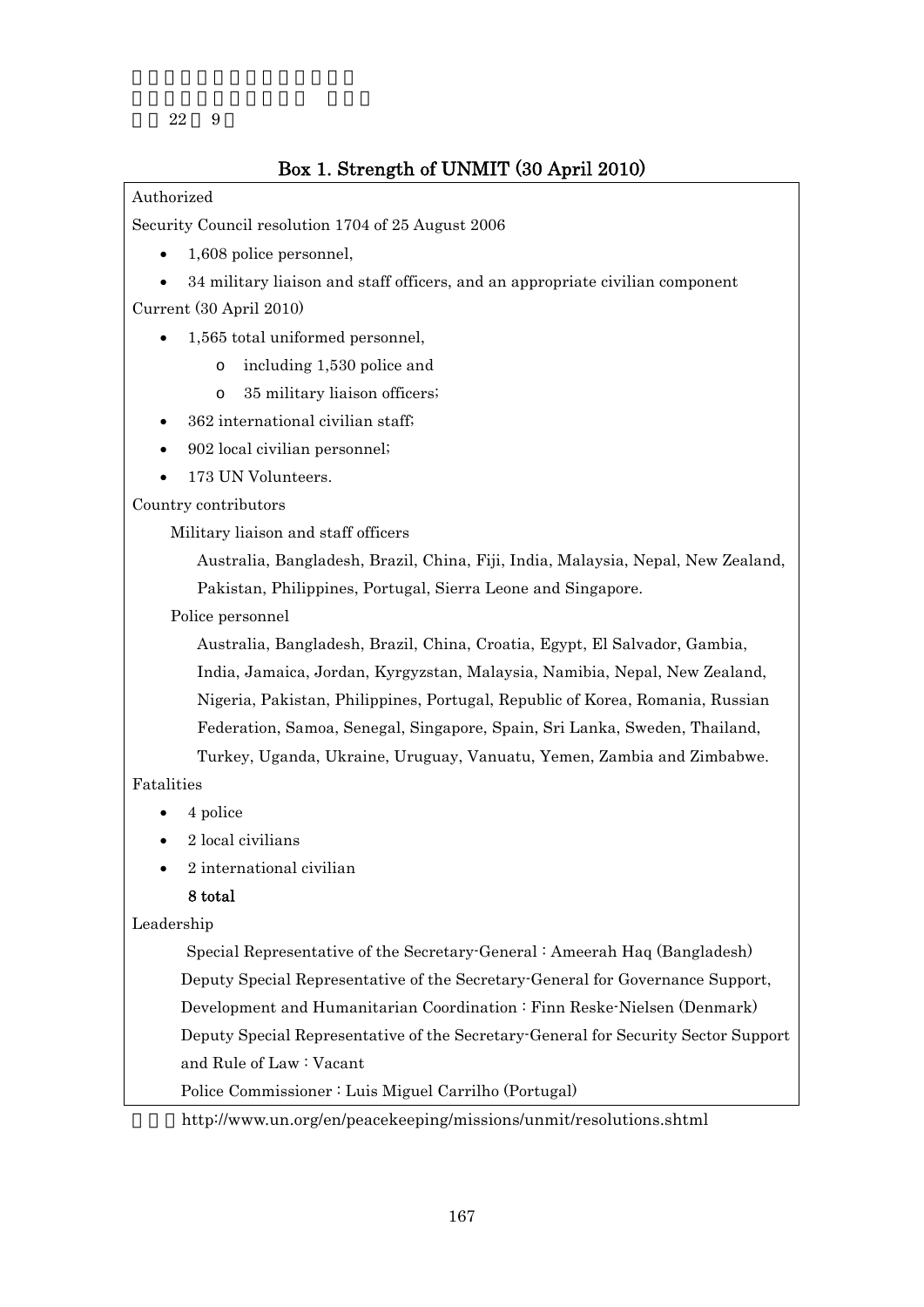## Box 1. Strength of UNMIT (30 April 2010)

## Authorized

Security Council resolution 1704 of 25 August 2006

- 1.608 police personnel.
- 34 military liaison and staff officers, and an appropriate civilian component Current (30 April 2010)
	- 1,565 total uniformed personnel,
		- o including 1,530 police and
		- o 35 military liaison officers;
	- 362 international civilian staff;
	- 902 local civilian personnel;
	- 173 UN Volunteers.

Country contributors

Military liaison and staff officers

Australia, Bangladesh, Brazil, China, Fiji, India, Malaysia, Nepal, New Zealand, Pakistan, Philippines, Portugal, Sierra Leone and Singapore.

Police personnel

Australia, Bangladesh, Brazil, China, Croatia, Egypt, El Salvador, Gambia, India, Jamaica, Jordan, Kyrgyzstan, Malaysia, Namibia, Nepal, New Zealand, Nigeria, Pakistan, Philippines, Portugal, Republic of Korea, Romania, Russian Federation, Samoa, Senegal, Singapore, Spain, Sri Lanka, Sweden, Thailand, Turkey, Uganda, Ukraine, Uruguay, Vanuatu, Yemen, Zambia and Zimbabwe.

## Fatalities

- 4 police
- 2 local civilians
- 2 international civilian

## 8 total

Leadership

Special Representative of the Secretary-General : Ameerah Haq (Bangladesh) Deputy Special Representative of the Secretary-General for Governance Support, Development and Humanitarian Coordination : Finn Reske-Nielsen (Denmark) Deputy Special Representative of the Secretary-General for Security Sector Support and Rule of Law : Vacant

Police Commissioner : Luis Miguel Carrilho (Portugal)

http://www.un.org/en/peacekeeping/missions/unmit/resolutions.shtml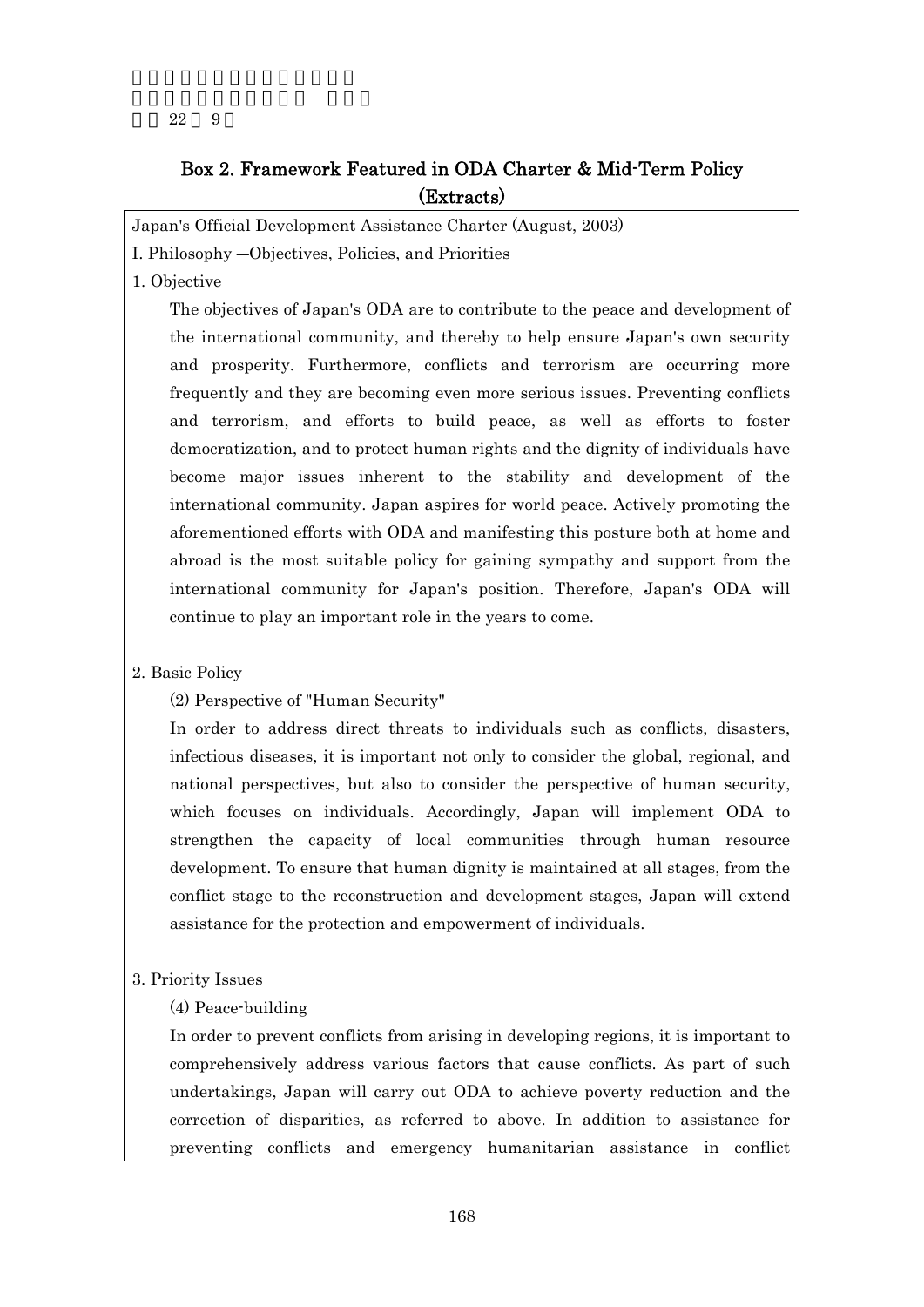## Box 2. Framework Featured in ODA Charter & Mid-Term Policy (Extracts)

Japan's Official Development Assistance Charter (August, 2003)

I. Philosophy ―Objectives, Policies, and Priorities

1. Objective

The objectives of Japan's ODA are to contribute to the peace and development of the international community, and thereby to help ensure Japan's own security and prosperity. Furthermore, conflicts and terrorism are occurring more frequently and they are becoming even more serious issues. Preventing conflicts and terrorism, and efforts to build peace, as well as efforts to foster democratization, and to protect human rights and the dignity of individuals have become major issues inherent to the stability and development of the international community. Japan aspires for world peace. Actively promoting the aforementioned efforts with ODA and manifesting this posture both at home and abroad is the most suitable policy for gaining sympathy and support from the international community for Japan's position. Therefore, Japan's ODA will continue to play an important role in the years to come.

## 2. Basic Policy

(2) Perspective of "Human Security"

In order to address direct threats to individuals such as conflicts, disasters, infectious diseases, it is important not only to consider the global, regional, and national perspectives, but also to consider the perspective of human security, which focuses on individuals. Accordingly, Japan will implement ODA to strengthen the capacity of local communities through human resource development. To ensure that human dignity is maintained at all stages, from the conflict stage to the reconstruction and development stages, Japan will extend assistance for the protection and empowerment of individuals.

#### 3. Priority Issues

## (4) Peace-building

In order to prevent conflicts from arising in developing regions, it is important to comprehensively address various factors that cause conflicts. As part of such undertakings, Japan will carry out ODA to achieve poverty reduction and the correction of disparities, as referred to above. In addition to assistance for preventing conflicts and emergency humanitarian assistance in conflict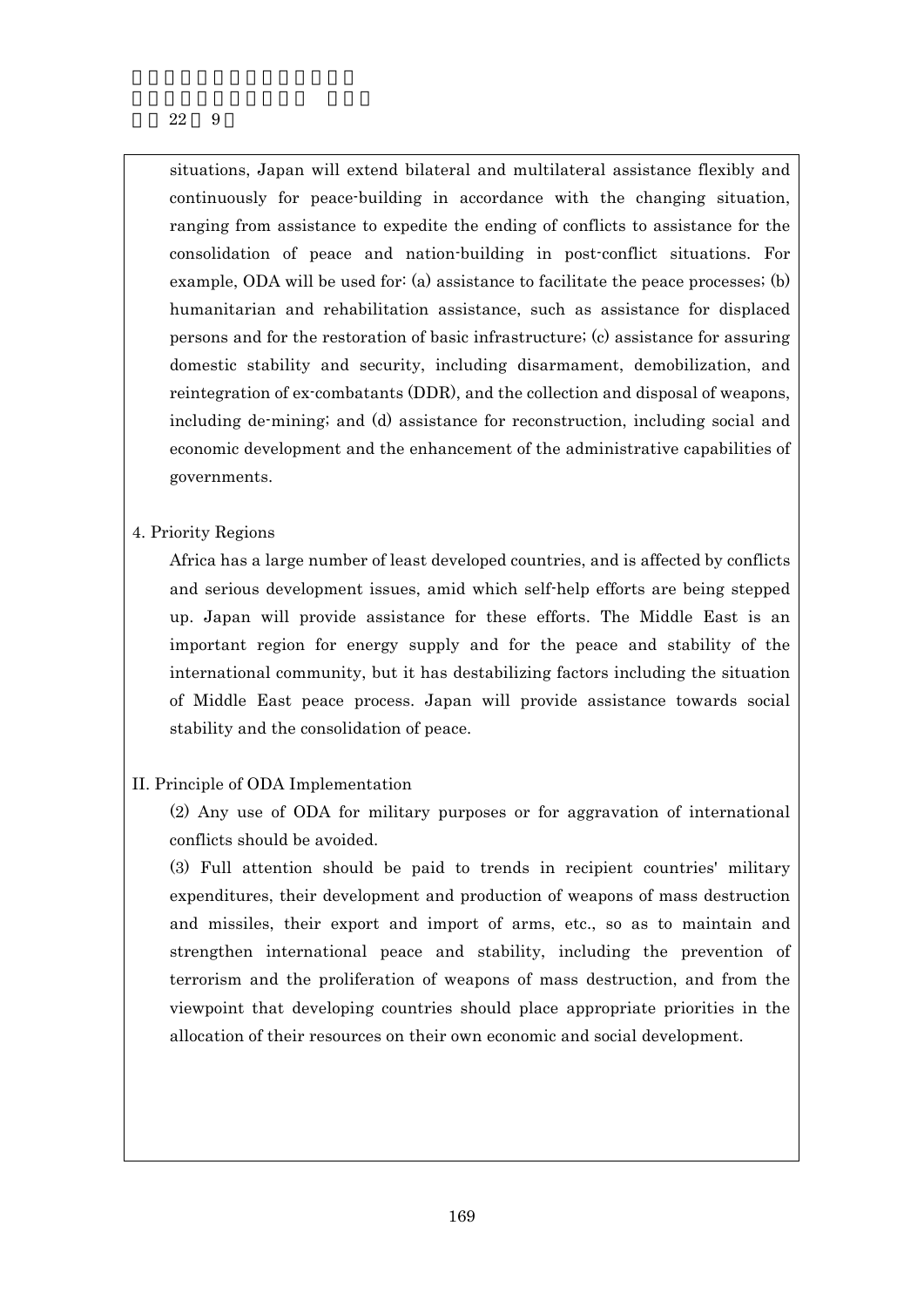situations, Japan will extend bilateral and multilateral assistance flexibly and continuously for peace-building in accordance with the changing situation, ranging from assistance to expedite the ending of conflicts to assistance for the consolidation of peace and nation-building in post-conflict situations. For example, ODA will be used for: (a) assistance to facilitate the peace processes; (b) humanitarian and rehabilitation assistance, such as assistance for displaced persons and for the restoration of basic infrastructure; (c) assistance for assuring domestic stability and security, including disarmament, demobilization, and reintegration of ex-combatants (DDR), and the collection and disposal of weapons, including de-mining; and (d) assistance for reconstruction, including social and economic development and the enhancement of the administrative capabilities of governments.

## 4. Priority Regions

Africa has a large number of least developed countries, and is affected by conflicts and serious development issues, amid which self-help efforts are being stepped up. Japan will provide assistance for these efforts. The Middle East is an important region for energy supply and for the peace and stability of the international community, but it has destabilizing factors including the situation of Middle East peace process. Japan will provide assistance towards social stability and the consolidation of peace.

## II. Principle of ODA Implementation

(2) Any use of ODA for military purposes or for aggravation of international conflicts should be avoided.

(3) Full attention should be paid to trends in recipient countries' military expenditures, their development and production of weapons of mass destruction and missiles, their export and import of arms, etc., so as to maintain and strengthen international peace and stability, including the prevention of terrorism and the proliferation of weapons of mass destruction, and from the viewpoint that developing countries should place appropriate priorities in the allocation of their resources on their own economic and social development.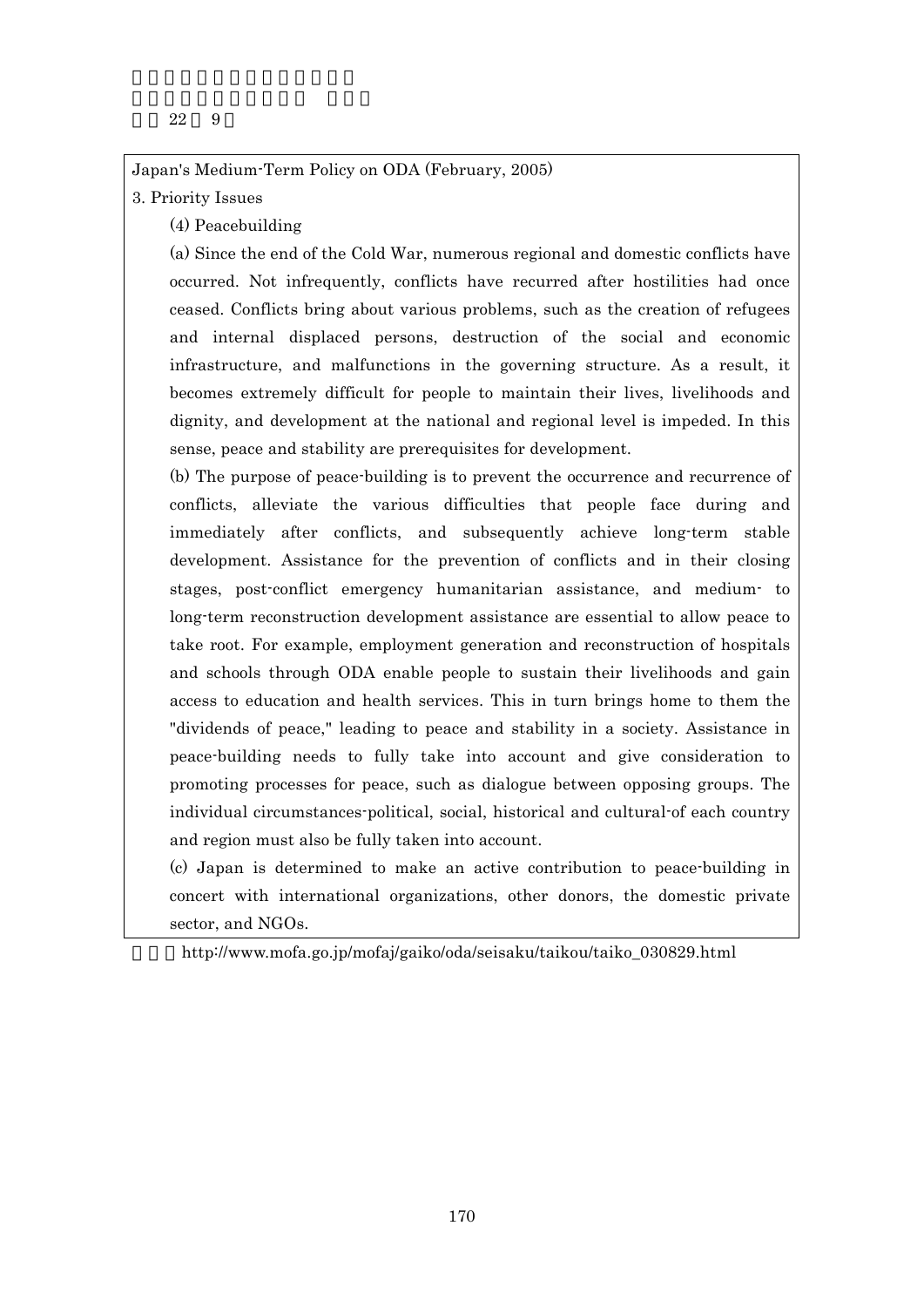Japan's Medium-Term Policy on ODA (February, 2005)

## 3. Priority Issues

(4) Peacebuilding

(a) Since the end of the Cold War, numerous regional and domestic conflicts have occurred. Not infrequently, conflicts have recurred after hostilities had once ceased. Conflicts bring about various problems, such as the creation of refugees and internal displaced persons, destruction of the social and economic infrastructure, and malfunctions in the governing structure. As a result, it becomes extremely difficult for people to maintain their lives, livelihoods and dignity, and development at the national and regional level is impeded. In this sense, peace and stability are prerequisites for development.

(b) The purpose of peace-building is to prevent the occurrence and recurrence of conflicts, alleviate the various difficulties that people face during and immediately after conflicts, and subsequently achieve long-term stable development. Assistance for the prevention of conflicts and in their closing stages, post-conflict emergency humanitarian assistance, and medium- to long-term reconstruction development assistance are essential to allow peace to take root. For example, employment generation and reconstruction of hospitals and schools through ODA enable people to sustain their livelihoods and gain access to education and health services. This in turn brings home to them the "dividends of peace," leading to peace and stability in a society. Assistance in peace-building needs to fully take into account and give consideration to promoting processes for peace, such as dialogue between opposing groups. The individual circumstances-political, social, historical and cultural-of each country and region must also be fully taken into account.

(c) Japan is determined to make an active contribution to peace-building in concert with international organizations, other donors, the domestic private sector, and NGOs.

http://www.mofa.go.jp/mofaj/gaiko/oda/seisaku/taikou/taiko\_030829.html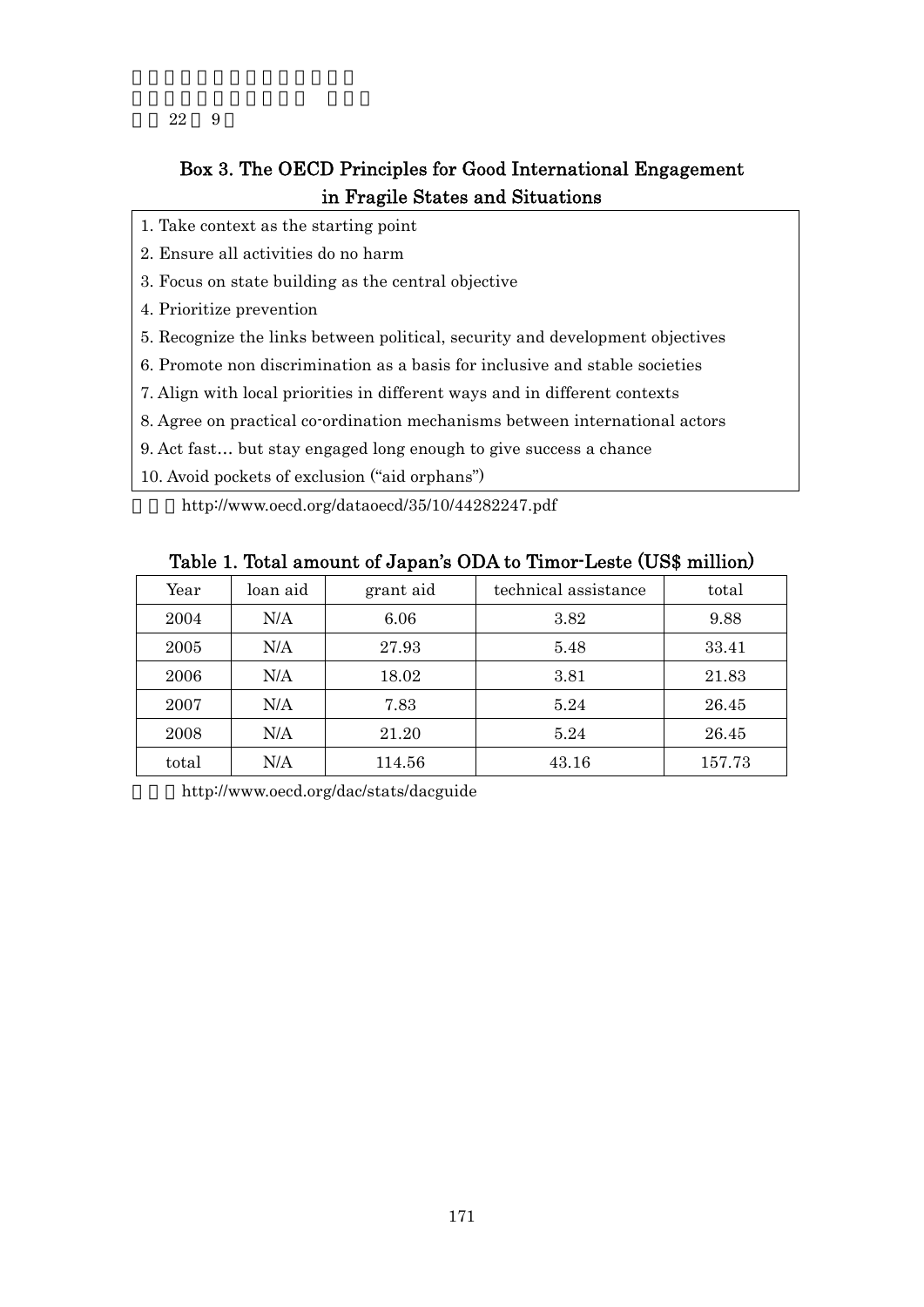# Box 3. The OECD Principles for Good International Engagement in Fragile States and Situations

- 1. Take context as the starting point
- 2. Ensure all activities do no harm
- 3. Focus on state building as the central objective
- 4. Prioritize prevention
- 5. Recognize the links between political, security and development objectives
- 6. Promote non discrimination as a basis for inclusive and stable societies
- 7. Align with local priorities in different ways and in different contexts
- 8. Agree on practical co-ordination mechanisms between international actors
- 9. Act fast… but stay engaged long enough to give success a chance
- 10. Avoid pockets of exclusion ("aid orphans")

http://www.oecd.org/dataoecd/35/10/44282247.pdf

| -     |          |           |                      |        |  |  |  |
|-------|----------|-----------|----------------------|--------|--|--|--|
| Year  | loan aid | grant aid | technical assistance | total  |  |  |  |
| 2004  | N/A      | 6.06      | 3.82                 | 9.88   |  |  |  |
| 2005  | N/A      | 27.93     | 5.48                 | 33.41  |  |  |  |
| 2006  | N/A      | 18.02     | 3.81                 | 21.83  |  |  |  |
| 2007  | N/A      | 7.83      | 5.24                 | 26.45  |  |  |  |
| 2008  | N/A      | 21.20     | 5.24                 | 26.45  |  |  |  |
| total | N/A      | 114.56    | 43.16                | 157.73 |  |  |  |

Table 1. Total amount of Japan's ODA to Timor-Leste (US\$ million)

http://www.oecd.org/dac/stats/dacguide